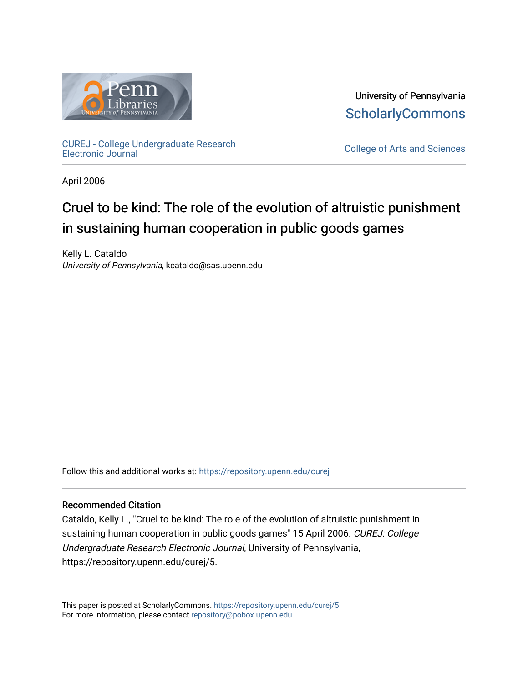

University of Pennsylvania **ScholarlyCommons** 

[CUREJ - College Undergraduate Research](https://repository.upenn.edu/curej) 

College of Arts and Sciences

April 2006

# Cruel to be kind: The role of the evolution of altruistic punishment in sustaining human cooperation in public goods games

Kelly L. Cataldo University of Pennsylvania, kcataldo@sas.upenn.edu

Follow this and additional works at: [https://repository.upenn.edu/curej](https://repository.upenn.edu/curej?utm_source=repository.upenn.edu%2Fcurej%2F5&utm_medium=PDF&utm_campaign=PDFCoverPages)

## Recommended Citation

Cataldo, Kelly L., "Cruel to be kind: The role of the evolution of altruistic punishment in sustaining human cooperation in public goods games" 15 April 2006. CUREJ: College Undergraduate Research Electronic Journal, University of Pennsylvania, https://repository.upenn.edu/curej/5.

This paper is posted at ScholarlyCommons.<https://repository.upenn.edu/curej/5> For more information, please contact [repository@pobox.upenn.edu.](mailto:repository@pobox.upenn.edu)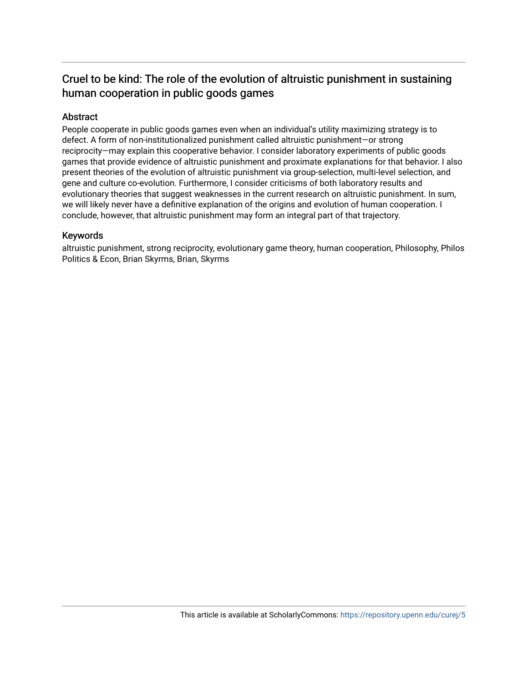# Cruel to be kind: The role of the evolution of altruistic punishment in sustaining human cooperation in public goods games

# Abstract

People cooperate in public goods games even when an individual's utility maximizing strategy is to defect. A form of non-institutionalized punishment called altruistic punishment—or strong reciprocity—may explain this cooperative behavior. I consider laboratory experiments of public goods games that provide evidence of altruistic punishment and proximate explanations for that behavior. I also present theories of the evolution of altruistic punishment via group-selection, multi-level selection, and gene and culture co-evolution. Furthermore, I consider criticisms of both laboratory results and evolutionary theories that suggest weaknesses in the current research on altruistic punishment. In sum, we will likely never have a definitive explanation of the origins and evolution of human cooperation. I conclude, however, that altruistic punishment may form an integral part of that trajectory.

## Keywords

altruistic punishment, strong reciprocity, evolutionary game theory, human cooperation, Philosophy, Philos Politics & Econ, Brian Skyrms, Brian, Skyrms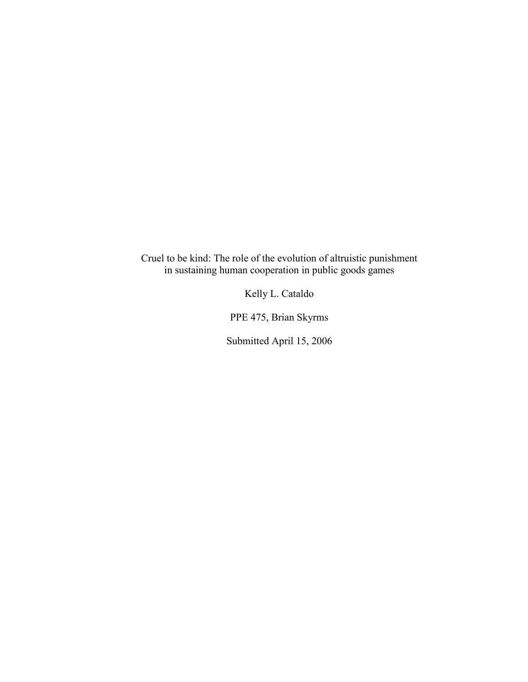Cruel to be kind: The role of the evolution of altruistic punishment in sustaining human cooperation in public goods games

Kelly L. Cataldo

PPE 475, Brian Skyrms

Submitted April 15, 2006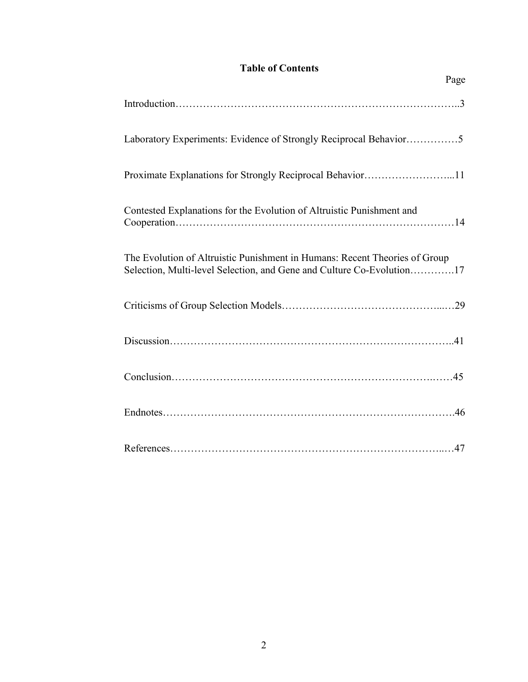# **Table of Contents**

Page

| Laboratory Experiments: Evidence of Strongly Reciprocal Behavior5                                                                                   |
|-----------------------------------------------------------------------------------------------------------------------------------------------------|
| Proximate Explanations for Strongly Reciprocal Behavior11                                                                                           |
| Contested Explanations for the Evolution of Altruistic Punishment and                                                                               |
| The Evolution of Altruistic Punishment in Humans: Recent Theories of Group<br>Selection, Multi-level Selection, and Gene and Culture Co-Evolution17 |
|                                                                                                                                                     |
|                                                                                                                                                     |
|                                                                                                                                                     |
|                                                                                                                                                     |
|                                                                                                                                                     |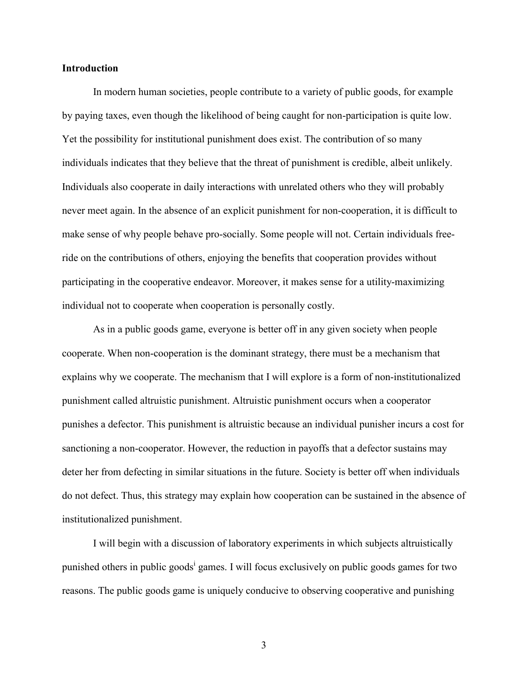#### **Introduction**

In modern human societies, people contribute to a variety of public goods, for example by paying taxes, even though the likelihood of being caught for non-participation is quite low. Yet the possibility for institutional punishment does exist. The contribution of so many individuals indicates that they believe that the threat of punishment is credible, albeit unlikely. Individuals also cooperate in daily interactions with unrelated others who they will probably never meet again. In the absence of an explicit punishment for non-cooperation, it is difficult to make sense of why people behave pro-socially. Some people will not. Certain individuals freeride on the contributions of others, enjoying the benefits that cooperation provides without participating in the cooperative endeavor. Moreover, it makes sense for a utility-maximizing individual not to cooperate when cooperation is personally costly.

As in a public goods game, everyone is better off in any given society when people cooperate. When non-cooperation is the dominant strategy, there must be a mechanism that explains why we cooperate. The mechanism that I will explore is a form of non-institutionalized punishment called altruistic punishment. Altruistic punishment occurs when a cooperator punishes a defector. This punishment is altruistic because an individual punisher incurs a cost for sanctioning a non-cooperator. However, the reduction in payoffs that a defector sustains may deter her from defecting in similar situations in the future. Society is better off when individuals do not defect. Thus, this strategy may explain how cooperation can be sustained in the absence of institutionalized punishment.

I will begin with a discussion of laboratory experiments in which subjects altruistically punished others in public goods<sup>i</sup> games. I will focus exclusively on public goods games for two reasons. The public goods game is uniquely conducive to observing cooperative and punishing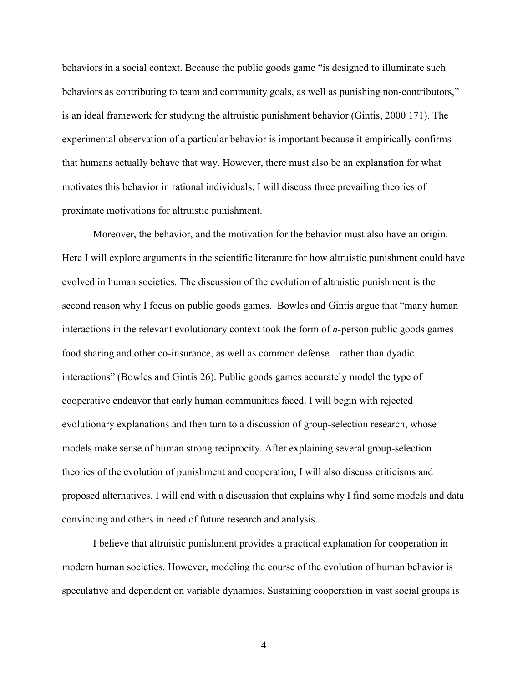behaviors in a social context. Because the public goods game "is designed to illuminate such behaviors as contributing to team and community goals, as well as punishing non-contributors," is an ideal framework for studying the altruistic punishment behavior (Gintis, 2000 171). The experimental observation of a particular behavior is important because it empirically confirms that humans actually behave that way. However, there must also be an explanation for what motivates this behavior in rational individuals. I will discuss three prevailing theories of proximate motivations for altruistic punishment.

Moreover, the behavior, and the motivation for the behavior must also have an origin. Here I will explore arguments in the scientific literature for how altruistic punishment could have evolved in human societies. The discussion of the evolution of altruistic punishment is the second reason why I focus on public goods games. Bowles and Gintis argue that "many human interactions in the relevant evolutionary context took the form of *n-*person public goods games food sharing and other co-insurance, as well as common defense—rather than dyadic interactions" (Bowles and Gintis 26). Public goods games accurately model the type of cooperative endeavor that early human communities faced. I will begin with rejected evolutionary explanations and then turn to a discussion of group-selection research, whose models make sense of human strong reciprocity. After explaining several group-selection theories of the evolution of punishment and cooperation, I will also discuss criticisms and proposed alternatives. I will end with a discussion that explains why I find some models and data convincing and others in need of future research and analysis.

I believe that altruistic punishment provides a practical explanation for cooperation in modern human societies. However, modeling the course of the evolution of human behavior is speculative and dependent on variable dynamics. Sustaining cooperation in vast social groups is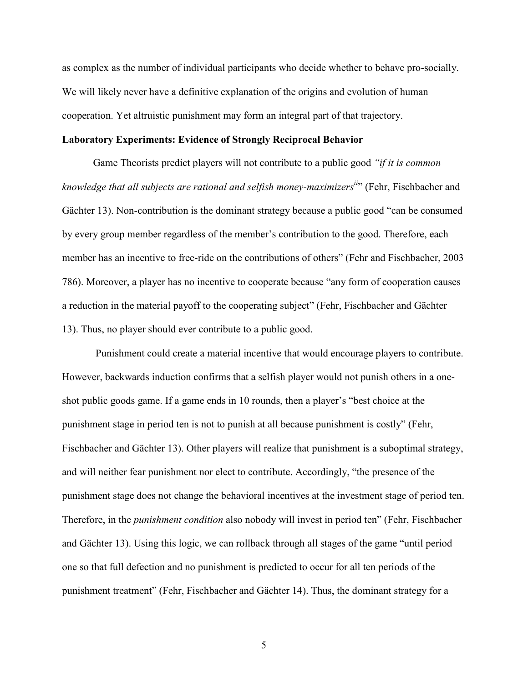as complex as the number of individual participants who decide whether to behave pro-socially. We will likely never have a definitive explanation of the origins and evolution of human cooperation. Yet altruistic punishment may form an integral part of that trajectory.

#### **Laboratory Experiments: Evidence of Strongly Reciprocal Behavior**

 Game Theorists predict players will not contribute to a public good *"if it is common knowledge that all subjects are rational and selfish money-maximizersii*" (Fehr, Fischbacher and Gächter 13). Non-contribution is the dominant strategy because a public good "can be consumed by every group member regardless of the member's contribution to the good. Therefore, each member has an incentive to free-ride on the contributions of others" (Fehr and Fischbacher, 2003 786). Moreover, a player has no incentive to cooperate because "any form of cooperation causes a reduction in the material payoff to the cooperating subject" (Fehr, Fischbacher and Gächter 13). Thus, no player should ever contribute to a public good.

Punishment could create a material incentive that would encourage players to contribute. However, backwards induction confirms that a selfish player would not punish others in a oneshot public goods game. If a game ends in 10 rounds, then a player's "best choice at the punishment stage in period ten is not to punish at all because punishment is costly" (Fehr, Fischbacher and Gächter 13). Other players will realize that punishment is a suboptimal strategy, and will neither fear punishment nor elect to contribute. Accordingly, "the presence of the punishment stage does not change the behavioral incentives at the investment stage of period ten. Therefore, in the *punishment condition* also nobody will invest in period ten" (Fehr, Fischbacher and Gächter 13). Using this logic, we can rollback through all stages of the game "until period one so that full defection and no punishment is predicted to occur for all ten periods of the punishment treatment" (Fehr, Fischbacher and Gächter 14). Thus, the dominant strategy for a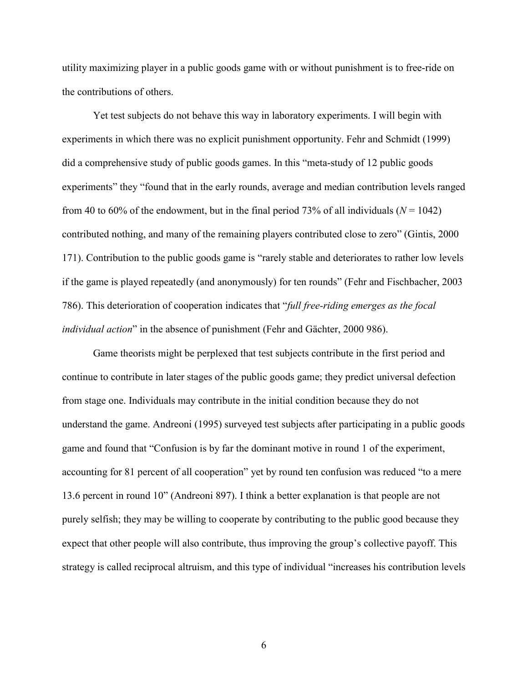utility maximizing player in a public goods game with or without punishment is to free-ride on the contributions of others.

Yet test subjects do not behave this way in laboratory experiments. I will begin with experiments in which there was no explicit punishment opportunity. Fehr and Schmidt (1999) did a comprehensive study of public goods games. In this "meta-study of 12 public goods experiments" they "found that in the early rounds, average and median contribution levels ranged from 40 to 60% of the endowment, but in the final period 73% of all individuals ( $N = 1042$ ) contributed nothing, and many of the remaining players contributed close to zero" (Gintis, 2000 171). Contribution to the public goods game is "rarely stable and deteriorates to rather low levels if the game is played repeatedly (and anonymously) for ten rounds" (Fehr and Fischbacher, 2003 786). This deterioration of cooperation indicates that "*full free-riding emerges as the focal individual action*" in the absence of punishment (Fehr and Gächter, 2000 986).

Game theorists might be perplexed that test subjects contribute in the first period and continue to contribute in later stages of the public goods game; they predict universal defection from stage one. Individuals may contribute in the initial condition because they do not understand the game. Andreoni (1995) surveyed test subjects after participating in a public goods game and found that "Confusion is by far the dominant motive in round 1 of the experiment, accounting for 81 percent of all cooperation" yet by round ten confusion was reduced "to a mere 13.6 percent in round 10" (Andreoni 897). I think a better explanation is that people are not purely selfish; they may be willing to cooperate by contributing to the public good because they expect that other people will also contribute, thus improving the group's collective payoff. This strategy is called reciprocal altruism, and this type of individual "increases his contribution levels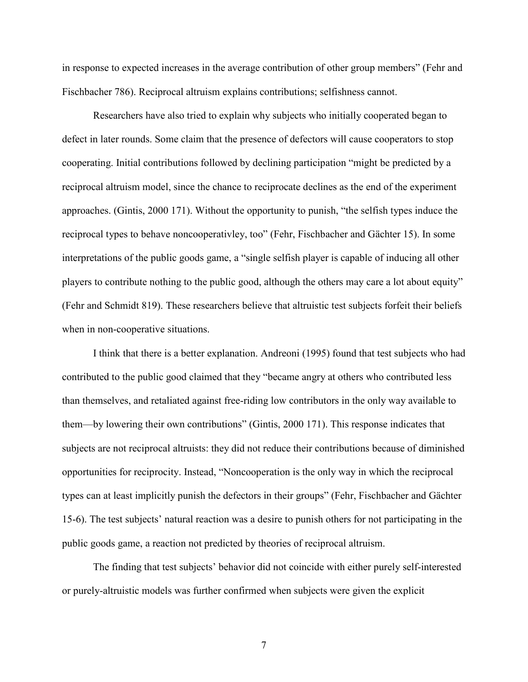in response to expected increases in the average contribution of other group members" (Fehr and Fischbacher 786). Reciprocal altruism explains contributions; selfishness cannot.

Researchers have also tried to explain why subjects who initially cooperated began to defect in later rounds. Some claim that the presence of defectors will cause cooperators to stop cooperating. Initial contributions followed by declining participation "might be predicted by a reciprocal altruism model, since the chance to reciprocate declines as the end of the experiment approaches. (Gintis, 2000 171). Without the opportunity to punish, "the selfish types induce the reciprocal types to behave noncooperativley, too" (Fehr, Fischbacher and Gächter 15). In some interpretations of the public goods game, a "single selfish player is capable of inducing all other players to contribute nothing to the public good, although the others may care a lot about equity" (Fehr and Schmidt 819). These researchers believe that altruistic test subjects forfeit their beliefs when in non-cooperative situations.

I think that there is a better explanation. Andreoni (1995) found that test subjects who had contributed to the public good claimed that they "became angry at others who contributed less than themselves, and retaliated against free-riding low contributors in the only way available to them—by lowering their own contributions" (Gintis, 2000 171). This response indicates that subjects are not reciprocal altruists: they did not reduce their contributions because of diminished opportunities for reciprocity. Instead, "Noncooperation is the only way in which the reciprocal types can at least implicitly punish the defectors in their groups" (Fehr, Fischbacher and Gächter 15-6). The test subjects' natural reaction was a desire to punish others for not participating in the public goods game, a reaction not predicted by theories of reciprocal altruism.

 The finding that test subjects' behavior did not coincide with either purely self-interested or purely-altruistic models was further confirmed when subjects were given the explicit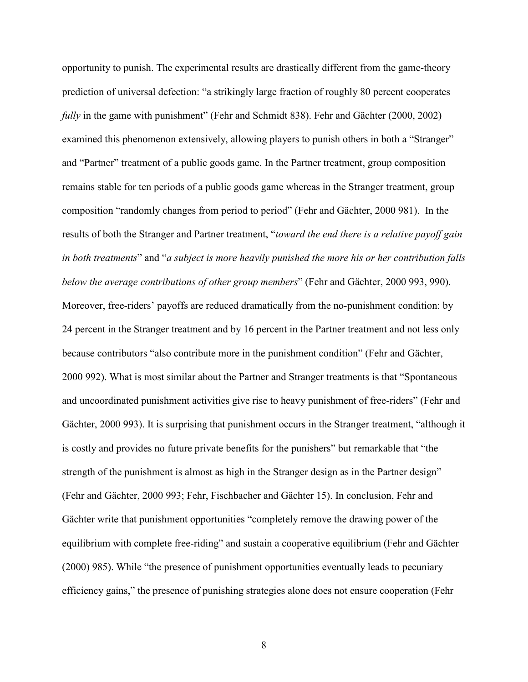opportunity to punish. The experimental results are drastically different from the game-theory prediction of universal defection: "a strikingly large fraction of roughly 80 percent cooperates *fully* in the game with punishment" (Fehr and Schmidt 838). Fehr and Gächter (2000, 2002) examined this phenomenon extensively, allowing players to punish others in both a "Stranger" and "Partner" treatment of a public goods game. In the Partner treatment, group composition remains stable for ten periods of a public goods game whereas in the Stranger treatment, group composition "randomly changes from period to period" (Fehr and Gächter, 2000 981). In the results of both the Stranger and Partner treatment, "*toward the end there is a relative payoff gain in both treatments*" and "*a subject is more heavily punished the more his or her contribution falls below the average contributions of other group members*" (Fehr and Gächter, 2000 993, 990). Moreover, free-riders' payoffs are reduced dramatically from the no-punishment condition: by 24 percent in the Stranger treatment and by 16 percent in the Partner treatment and not less only because contributors "also contribute more in the punishment condition" (Fehr and Gächter, 2000 992). What is most similar about the Partner and Stranger treatments is that "Spontaneous and uncoordinated punishment activities give rise to heavy punishment of free-riders" (Fehr and Gächter, 2000 993). It is surprising that punishment occurs in the Stranger treatment, "although it is costly and provides no future private benefits for the punishers" but remarkable that "the strength of the punishment is almost as high in the Stranger design as in the Partner design" (Fehr and Gächter, 2000 993; Fehr, Fischbacher and Gächter 15). In conclusion, Fehr and Gächter write that punishment opportunities "completely remove the drawing power of the equilibrium with complete free-riding" and sustain a cooperative equilibrium (Fehr and Gächter (2000) 985). While "the presence of punishment opportunities eventually leads to pecuniary efficiency gains," the presence of punishing strategies alone does not ensure cooperation (Fehr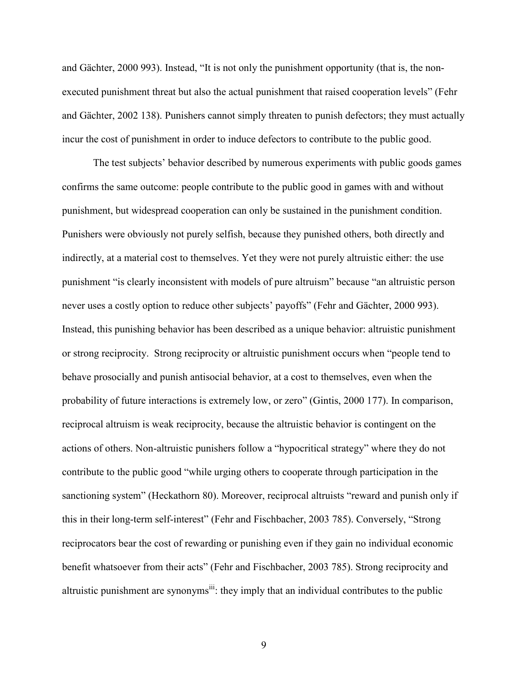and Gächter, 2000 993). Instead, "It is not only the punishment opportunity (that is, the nonexecuted punishment threat but also the actual punishment that raised cooperation levels" (Fehr and Gächter, 2002 138). Punishers cannot simply threaten to punish defectors; they must actually incur the cost of punishment in order to induce defectors to contribute to the public good.

The test subjects' behavior described by numerous experiments with public goods games confirms the same outcome: people contribute to the public good in games with and without punishment, but widespread cooperation can only be sustained in the punishment condition. Punishers were obviously not purely selfish, because they punished others, both directly and indirectly, at a material cost to themselves. Yet they were not purely altruistic either: the use punishment "is clearly inconsistent with models of pure altruism" because "an altruistic person never uses a costly option to reduce other subjects' payoffs" (Fehr and Gächter, 2000 993). Instead, this punishing behavior has been described as a unique behavior: altruistic punishment or strong reciprocity. Strong reciprocity or altruistic punishment occurs when "people tend to behave prosocially and punish antisocial behavior, at a cost to themselves, even when the probability of future interactions is extremely low, or zero" (Gintis, 2000 177). In comparison, reciprocal altruism is weak reciprocity, because the altruistic behavior is contingent on the actions of others. Non-altruistic punishers follow a "hypocritical strategy" where they do not contribute to the public good "while urging others to cooperate through participation in the sanctioning system" (Heckathorn 80). Moreover, reciprocal altruists "reward and punish only if this in their long-term self-interest" (Fehr and Fischbacher, 2003 785). Conversely, "Strong reciprocators bear the cost of rewarding or punishing even if they gain no individual economic benefit whatsoever from their acts" (Fehr and Fischbacher, 2003 785). Strong reciprocity and altruistic punishment are synonyms<sup>iii</sup>: they imply that an individual contributes to the public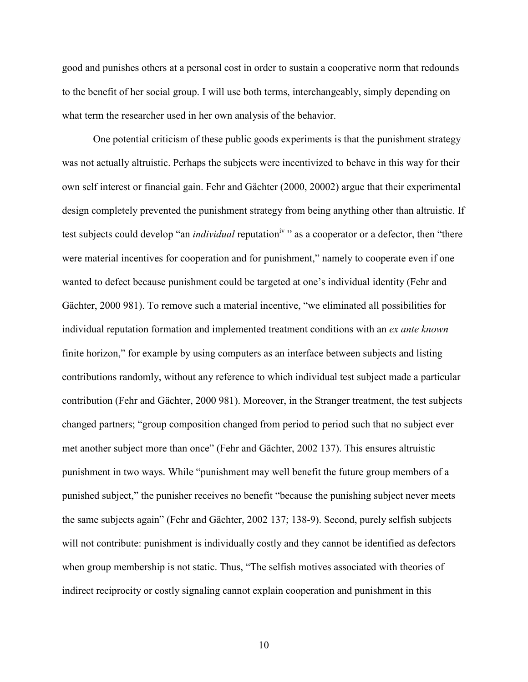good and punishes others at a personal cost in order to sustain a cooperative norm that redounds to the benefit of her social group. I will use both terms, interchangeably, simply depending on what term the researcher used in her own analysis of the behavior.

One potential criticism of these public goods experiments is that the punishment strategy was not actually altruistic. Perhaps the subjects were incentivized to behave in this way for their own self interest or financial gain. Fehr and Gächter (2000, 20002) argue that their experimental design completely prevented the punishment strategy from being anything other than altruistic. If test subjects could develop "an *individual* reputation<sup>iv</sup>" as a cooperator or a defector, then "there were material incentives for cooperation and for punishment," namely to cooperate even if one wanted to defect because punishment could be targeted at one's individual identity (Fehr and Gächter, 2000 981). To remove such a material incentive, "we eliminated all possibilities for individual reputation formation and implemented treatment conditions with an *ex ante known* finite horizon," for example by using computers as an interface between subjects and listing contributions randomly, without any reference to which individual test subject made a particular contribution (Fehr and Gächter, 2000 981). Moreover, in the Stranger treatment, the test subjects changed partners; "group composition changed from period to period such that no subject ever met another subject more than once" (Fehr and Gächter, 2002 137). This ensures altruistic punishment in two ways. While "punishment may well benefit the future group members of a punished subject," the punisher receives no benefit "because the punishing subject never meets the same subjects again" (Fehr and Gächter, 2002 137; 138-9). Second, purely selfish subjects will not contribute: punishment is individually costly and they cannot be identified as defectors when group membership is not static. Thus, "The selfish motives associated with theories of indirect reciprocity or costly signaling cannot explain cooperation and punishment in this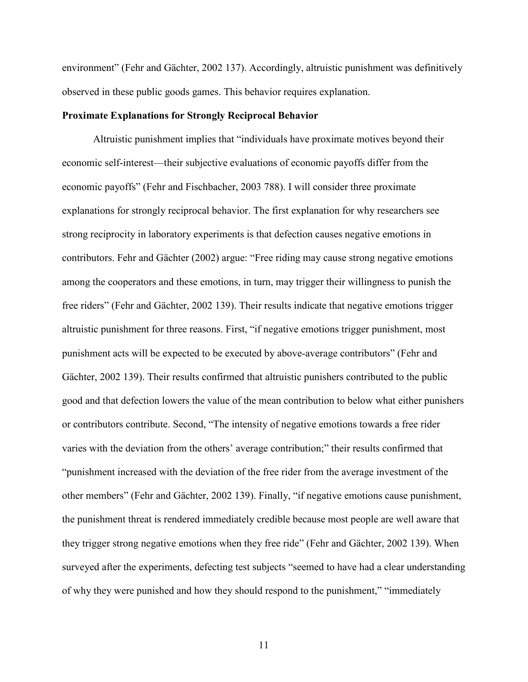environment" (Fehr and Gächter, 2002 137). Accordingly, altruistic punishment was definitively observed in these public goods games. This behavior requires explanation.

#### **Proximate Explanations for Strongly Reciprocal Behavior**

 Altruistic punishment implies that "individuals have proximate motives beyond their economic self-interest—their subjective evaluations of economic payoffs differ from the economic payoffs" (Fehr and Fischbacher, 2003 788). I will consider three proximate explanations for strongly reciprocal behavior. The first explanation for why researchers see strong reciprocity in laboratory experiments is that defection causes negative emotions in contributors. Fehr and Gächter (2002) argue: "Free riding may cause strong negative emotions among the cooperators and these emotions, in turn, may trigger their willingness to punish the free riders" (Fehr and Gächter, 2002 139). Their results indicate that negative emotions trigger altruistic punishment for three reasons. First, "if negative emotions trigger punishment, most punishment acts will be expected to be executed by above-average contributors" (Fehr and Gächter, 2002 139). Their results confirmed that altruistic punishers contributed to the public good and that defection lowers the value of the mean contribution to below what either punishers or contributors contribute. Second, "The intensity of negative emotions towards a free rider varies with the deviation from the others' average contribution;" their results confirmed that "punishment increased with the deviation of the free rider from the average investment of the other members" (Fehr and Gächter, 2002 139). Finally, "if negative emotions cause punishment, the punishment threat is rendered immediately credible because most people are well aware that they trigger strong negative emotions when they free ride" (Fehr and Gächter, 2002 139). When surveyed after the experiments, defecting test subjects "seemed to have had a clear understanding of why they were punished and how they should respond to the punishment," "immediately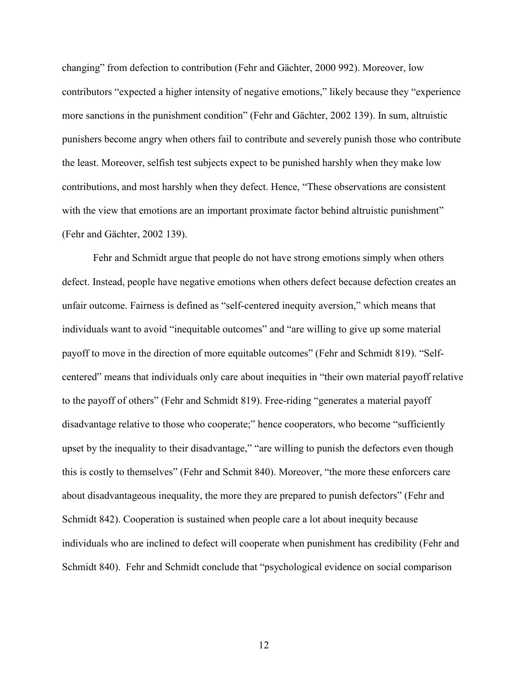changing" from defection to contribution (Fehr and Gächter, 2000 992). Moreover, low contributors "expected a higher intensity of negative emotions," likely because they "experience more sanctions in the punishment condition" (Fehr and Gächter, 2002 139). In sum, altruistic punishers become angry when others fail to contribute and severely punish those who contribute the least. Moreover, selfish test subjects expect to be punished harshly when they make low contributions, and most harshly when they defect. Hence, "These observations are consistent with the view that emotions are an important proximate factor behind altruistic punishment" (Fehr and Gächter, 2002 139).

Fehr and Schmidt argue that people do not have strong emotions simply when others defect. Instead, people have negative emotions when others defect because defection creates an unfair outcome. Fairness is defined as "self-centered inequity aversion," which means that individuals want to avoid "inequitable outcomes" and "are willing to give up some material payoff to move in the direction of more equitable outcomes" (Fehr and Schmidt 819). "Selfcentered" means that individuals only care about inequities in "their own material payoff relative to the payoff of others" (Fehr and Schmidt 819). Free-riding "generates a material payoff disadvantage relative to those who cooperate;" hence cooperators, who become "sufficiently upset by the inequality to their disadvantage," "are willing to punish the defectors even though this is costly to themselves" (Fehr and Schmit 840). Moreover, "the more these enforcers care about disadvantageous inequality, the more they are prepared to punish defectors" (Fehr and Schmidt 842). Cooperation is sustained when people care a lot about inequity because individuals who are inclined to defect will cooperate when punishment has credibility (Fehr and Schmidt 840). Fehr and Schmidt conclude that "psychological evidence on social comparison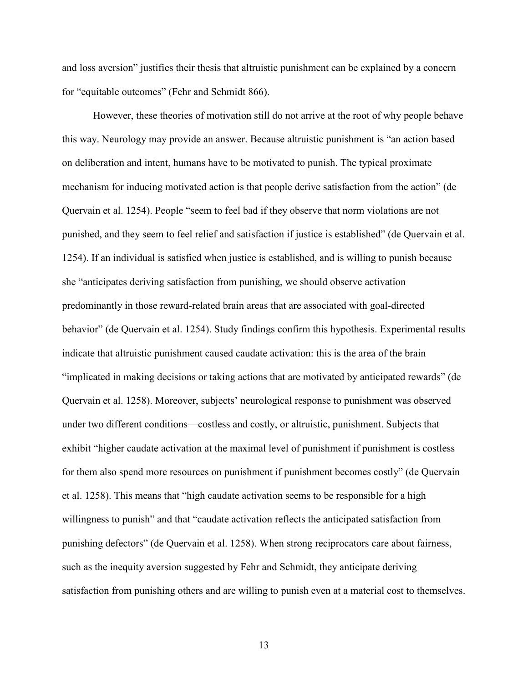and loss aversion" justifies their thesis that altruistic punishment can be explained by a concern for "equitable outcomes" (Fehr and Schmidt 866).

However, these theories of motivation still do not arrive at the root of why people behave this way. Neurology may provide an answer. Because altruistic punishment is "an action based on deliberation and intent, humans have to be motivated to punish. The typical proximate mechanism for inducing motivated action is that people derive satisfaction from the action" (de Quervain et al. 1254). People "seem to feel bad if they observe that norm violations are not punished, and they seem to feel relief and satisfaction if justice is established" (de Quervain et al. 1254). If an individual is satisfied when justice is established, and is willing to punish because she "anticipates deriving satisfaction from punishing, we should observe activation predominantly in those reward-related brain areas that are associated with goal-directed behavior" (de Quervain et al. 1254). Study findings confirm this hypothesis. Experimental results indicate that altruistic punishment caused caudate activation: this is the area of the brain "implicated in making decisions or taking actions that are motivated by anticipated rewards" (de Quervain et al. 1258). Moreover, subjects' neurological response to punishment was observed under two different conditions—costless and costly, or altruistic, punishment. Subjects that exhibit "higher caudate activation at the maximal level of punishment if punishment is costless for them also spend more resources on punishment if punishment becomes costly" (de Quervain et al. 1258). This means that "high caudate activation seems to be responsible for a high willingness to punish" and that "caudate activation reflects the anticipated satisfaction from punishing defectors" (de Quervain et al. 1258). When strong reciprocators care about fairness, such as the inequity aversion suggested by Fehr and Schmidt, they anticipate deriving satisfaction from punishing others and are willing to punish even at a material cost to themselves.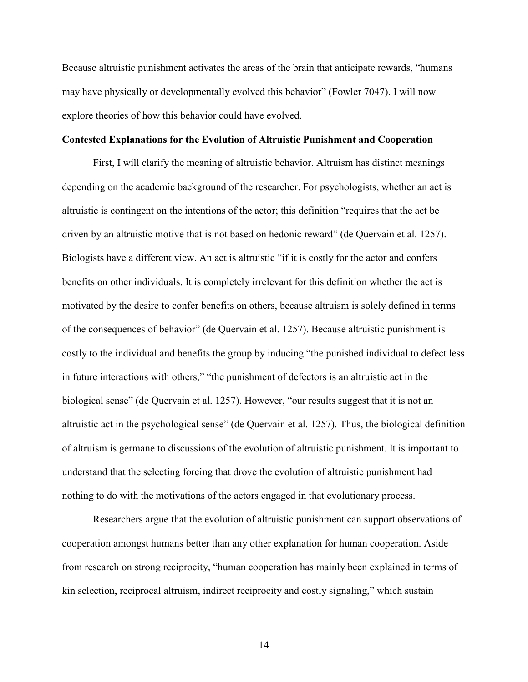Because altruistic punishment activates the areas of the brain that anticipate rewards, "humans may have physically or developmentally evolved this behavior" (Fowler 7047). I will now explore theories of how this behavior could have evolved.

#### **Contested Explanations for the Evolution of Altruistic Punishment and Cooperation**

First, I will clarify the meaning of altruistic behavior. Altruism has distinct meanings depending on the academic background of the researcher. For psychologists, whether an act is altruistic is contingent on the intentions of the actor; this definition "requires that the act be driven by an altruistic motive that is not based on hedonic reward" (de Quervain et al. 1257). Biologists have a different view. An act is altruistic "if it is costly for the actor and confers benefits on other individuals. It is completely irrelevant for this definition whether the act is motivated by the desire to confer benefits on others, because altruism is solely defined in terms of the consequences of behavior" (de Quervain et al. 1257). Because altruistic punishment is costly to the individual and benefits the group by inducing "the punished individual to defect less in future interactions with others," "the punishment of defectors is an altruistic act in the biological sense" (de Quervain et al. 1257). However, "our results suggest that it is not an altruistic act in the psychological sense" (de Quervain et al. 1257). Thus, the biological definition of altruism is germane to discussions of the evolution of altruistic punishment. It is important to understand that the selecting forcing that drove the evolution of altruistic punishment had nothing to do with the motivations of the actors engaged in that evolutionary process.

Researchers argue that the evolution of altruistic punishment can support observations of cooperation amongst humans better than any other explanation for human cooperation. Aside from research on strong reciprocity, "human cooperation has mainly been explained in terms of kin selection, reciprocal altruism, indirect reciprocity and costly signaling," which sustain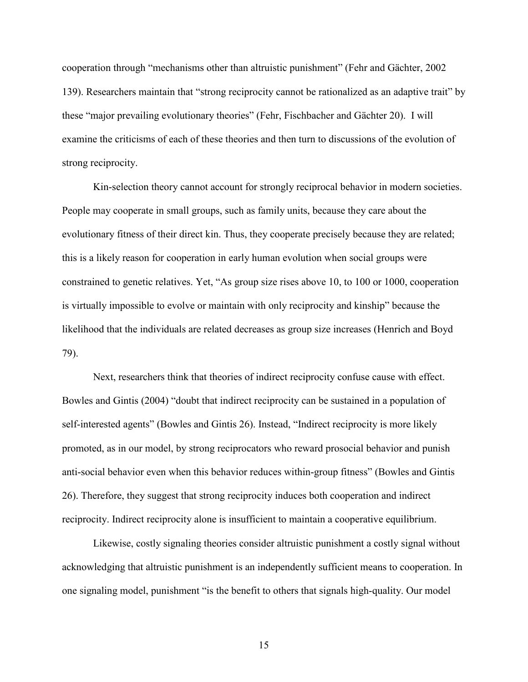cooperation through "mechanisms other than altruistic punishment" (Fehr and Gächter, 2002 139). Researchers maintain that "strong reciprocity cannot be rationalized as an adaptive trait" by these "major prevailing evolutionary theories" (Fehr, Fischbacher and Gächter 20). I will examine the criticisms of each of these theories and then turn to discussions of the evolution of strong reciprocity.

Kin-selection theory cannot account for strongly reciprocal behavior in modern societies. People may cooperate in small groups, such as family units, because they care about the evolutionary fitness of their direct kin. Thus, they cooperate precisely because they are related; this is a likely reason for cooperation in early human evolution when social groups were constrained to genetic relatives. Yet, "As group size rises above 10, to 100 or 1000, cooperation is virtually impossible to evolve or maintain with only reciprocity and kinship" because the likelihood that the individuals are related decreases as group size increases (Henrich and Boyd 79).

Next, researchers think that theories of indirect reciprocity confuse cause with effect. Bowles and Gintis (2004) "doubt that indirect reciprocity can be sustained in a population of self-interested agents" (Bowles and Gintis 26). Instead, "Indirect reciprocity is more likely promoted, as in our model, by strong reciprocators who reward prosocial behavior and punish anti-social behavior even when this behavior reduces within-group fitness" (Bowles and Gintis 26). Therefore, they suggest that strong reciprocity induces both cooperation and indirect reciprocity. Indirect reciprocity alone is insufficient to maintain a cooperative equilibrium.

Likewise, costly signaling theories consider altruistic punishment a costly signal without acknowledging that altruistic punishment is an independently sufficient means to cooperation. In one signaling model, punishment "is the benefit to others that signals high-quality. Our model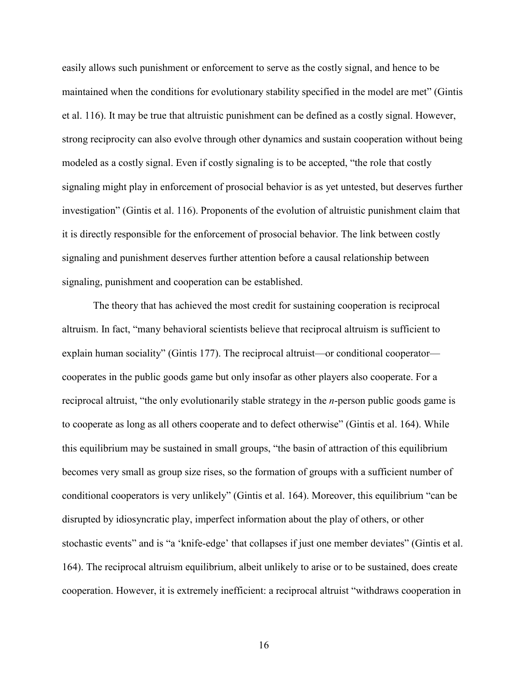easily allows such punishment or enforcement to serve as the costly signal, and hence to be maintained when the conditions for evolutionary stability specified in the model are met" (Gintis et al. 116). It may be true that altruistic punishment can be defined as a costly signal. However, strong reciprocity can also evolve through other dynamics and sustain cooperation without being modeled as a costly signal. Even if costly signaling is to be accepted, "the role that costly signaling might play in enforcement of prosocial behavior is as yet untested, but deserves further investigation" (Gintis et al. 116). Proponents of the evolution of altruistic punishment claim that it is directly responsible for the enforcement of prosocial behavior. The link between costly signaling and punishment deserves further attention before a causal relationship between signaling, punishment and cooperation can be established.

The theory that has achieved the most credit for sustaining cooperation is reciprocal altruism. In fact, "many behavioral scientists believe that reciprocal altruism is sufficient to explain human sociality" (Gintis 177). The reciprocal altruist—or conditional cooperator cooperates in the public goods game but only insofar as other players also cooperate. For a reciprocal altruist, "the only evolutionarily stable strategy in the *n*-person public goods game is to cooperate as long as all others cooperate and to defect otherwise" (Gintis et al. 164). While this equilibrium may be sustained in small groups, "the basin of attraction of this equilibrium becomes very small as group size rises, so the formation of groups with a sufficient number of conditional cooperators is very unlikely" (Gintis et al. 164). Moreover, this equilibrium "can be disrupted by idiosyncratic play, imperfect information about the play of others, or other stochastic events" and is "a 'knife-edge' that collapses if just one member deviates" (Gintis et al. 164). The reciprocal altruism equilibrium, albeit unlikely to arise or to be sustained, does create cooperation. However, it is extremely inefficient: a reciprocal altruist "withdraws cooperation in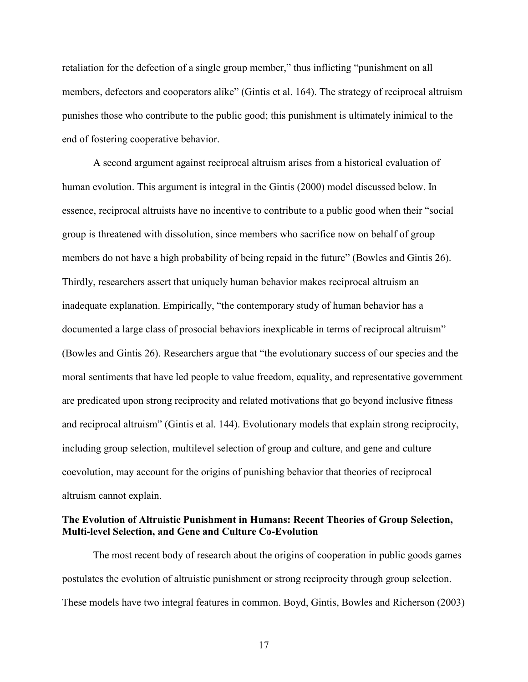retaliation for the defection of a single group member," thus inflicting "punishment on all members, defectors and cooperators alike" (Gintis et al. 164). The strategy of reciprocal altruism punishes those who contribute to the public good; this punishment is ultimately inimical to the end of fostering cooperative behavior.

A second argument against reciprocal altruism arises from a historical evaluation of human evolution. This argument is integral in the Gintis (2000) model discussed below. In essence, reciprocal altruists have no incentive to contribute to a public good when their "social group is threatened with dissolution, since members who sacrifice now on behalf of group members do not have a high probability of being repaid in the future" (Bowles and Gintis 26). Thirdly, researchers assert that uniquely human behavior makes reciprocal altruism an inadequate explanation. Empirically, "the contemporary study of human behavior has a documented a large class of prosocial behaviors inexplicable in terms of reciprocal altruism" (Bowles and Gintis 26). Researchers argue that "the evolutionary success of our species and the moral sentiments that have led people to value freedom, equality, and representative government are predicated upon strong reciprocity and related motivations that go beyond inclusive fitness and reciprocal altruism" (Gintis et al. 144). Evolutionary models that explain strong reciprocity, including group selection, multilevel selection of group and culture, and gene and culture coevolution, may account for the origins of punishing behavior that theories of reciprocal altruism cannot explain.

### **The Evolution of Altruistic Punishment in Humans: Recent Theories of Group Selection, Multi-level Selection, and Gene and Culture Co-Evolution**

The most recent body of research about the origins of cooperation in public goods games postulates the evolution of altruistic punishment or strong reciprocity through group selection. These models have two integral features in common. Boyd, Gintis, Bowles and Richerson (2003)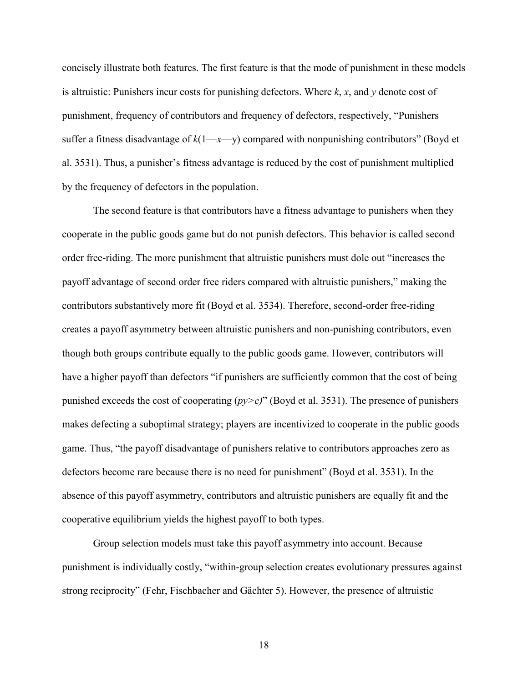concisely illustrate both features. The first feature is that the mode of punishment in these models is altruistic: Punishers incur costs for punishing defectors. Where *k*, *x*, and *y* denote cost of punishment, frequency of contributors and frequency of defectors, respectively, "Punishers suffer a fitness disadvantage of  $k(1-x-y)$  compared with nonpunishing contributors" (Boyd et al. 3531). Thus, a punisher's fitness advantage is reduced by the cost of punishment multiplied by the frequency of defectors in the population.

The second feature is that contributors have a fitness advantage to punishers when they cooperate in the public goods game but do not punish defectors. This behavior is called second order free-riding. The more punishment that altruistic punishers must dole out "increases the payoff advantage of second order free riders compared with altruistic punishers," making the contributors substantively more fit (Boyd et al. 3534). Therefore, second-order free-riding creates a payoff asymmetry between altruistic punishers and non-punishing contributors, even though both groups contribute equally to the public goods game. However, contributors will have a higher payoff than defectors "if punishers are sufficiently common that the cost of being punished exceeds the cost of cooperating (*py>c)*" (Boyd et al. 3531). The presence of punishers makes defecting a suboptimal strategy; players are incentivized to cooperate in the public goods game. Thus, "the payoff disadvantage of punishers relative to contributors approaches zero as defectors become rare because there is no need for punishment" (Boyd et al. 3531). In the absence of this payoff asymmetry, contributors and altruistic punishers are equally fit and the cooperative equilibrium yields the highest payoff to both types.

Group selection models must take this payoff asymmetry into account. Because punishment is individually costly, "within-group selection creates evolutionary pressures against strong reciprocity" (Fehr, Fischbacher and Gächter 5). However, the presence of altruistic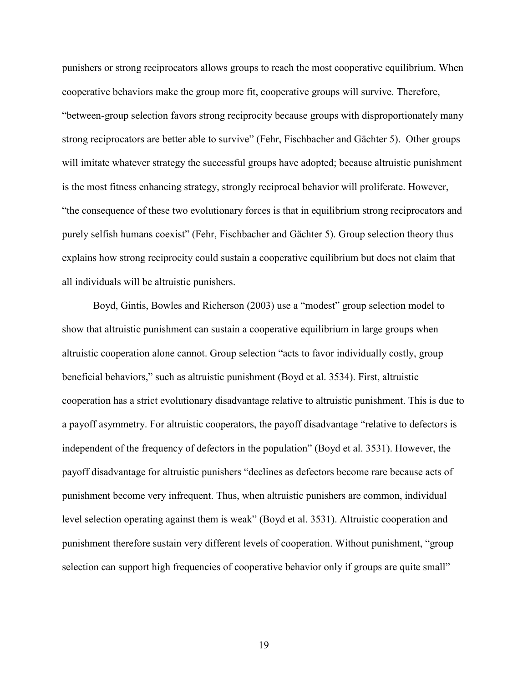punishers or strong reciprocators allows groups to reach the most cooperative equilibrium. When cooperative behaviors make the group more fit, cooperative groups will survive. Therefore, "between-group selection favors strong reciprocity because groups with disproportionately many strong reciprocators are better able to survive" (Fehr, Fischbacher and Gächter 5). Other groups will imitate whatever strategy the successful groups have adopted; because altruistic punishment is the most fitness enhancing strategy, strongly reciprocal behavior will proliferate. However, "the consequence of these two evolutionary forces is that in equilibrium strong reciprocators and purely selfish humans coexist" (Fehr, Fischbacher and Gächter 5). Group selection theory thus explains how strong reciprocity could sustain a cooperative equilibrium but does not claim that all individuals will be altruistic punishers.

Boyd, Gintis, Bowles and Richerson (2003) use a "modest" group selection model to show that altruistic punishment can sustain a cooperative equilibrium in large groups when altruistic cooperation alone cannot. Group selection "acts to favor individually costly, group beneficial behaviors," such as altruistic punishment (Boyd et al. 3534). First, altruistic cooperation has a strict evolutionary disadvantage relative to altruistic punishment. This is due to a payoff asymmetry. For altruistic cooperators, the payoff disadvantage "relative to defectors is independent of the frequency of defectors in the population" (Boyd et al. 3531). However, the payoff disadvantage for altruistic punishers "declines as defectors become rare because acts of punishment become very infrequent. Thus, when altruistic punishers are common, individual level selection operating against them is weak" (Boyd et al. 3531). Altruistic cooperation and punishment therefore sustain very different levels of cooperation. Without punishment, "group selection can support high frequencies of cooperative behavior only if groups are quite small"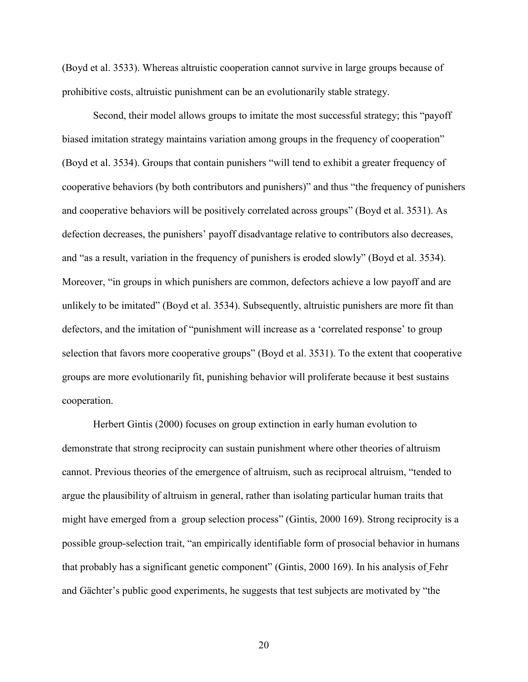(Boyd et al. 3533). Whereas altruistic cooperation cannot survive in large groups because of prohibitive costs, altruistic punishment can be an evolutionarily stable strategy.

Second, their model allows groups to imitate the most successful strategy; this "payoff biased imitation strategy maintains variation among groups in the frequency of cooperation" (Boyd et al. 3534). Groups that contain punishers "will tend to exhibit a greater frequency of cooperative behaviors (by both contributors and punishers)" and thus "the frequency of punishers and cooperative behaviors will be positively correlated across groups" (Boyd et al. 3531). As defection decreases, the punishers' payoff disadvantage relative to contributors also decreases, and "as a result, variation in the frequency of punishers is eroded slowly" (Boyd et al. 3534). Moreover, "in groups in which punishers are common, defectors achieve a low payoff and are unlikely to be imitated" (Boyd et al. 3534). Subsequently, altruistic punishers are more fit than defectors, and the imitation of "punishment will increase as a 'correlated response' to group selection that favors more cooperative groups" (Boyd et al. 3531). To the extent that cooperative groups are more evolutionarily fit, punishing behavior will proliferate because it best sustains cooperation.

Herbert Gintis (2000) focuses on group extinction in early human evolution to demonstrate that strong reciprocity can sustain punishment where other theories of altruism cannot. Previous theories of the emergence of altruism, such as reciprocal altruism, "tended to argue the plausibility of altruism in general, rather than isolating particular human traits that might have emerged from a group selection process" (Gintis, 2000 169). Strong reciprocity is a possible group-selection trait, "an empirically identifiable form of prosocial behavior in humans that probably has a significant genetic component" (Gintis, 2000 169). In his analysis of Fehr and Gächter's public good experiments, he suggests that test subjects are motivated by "the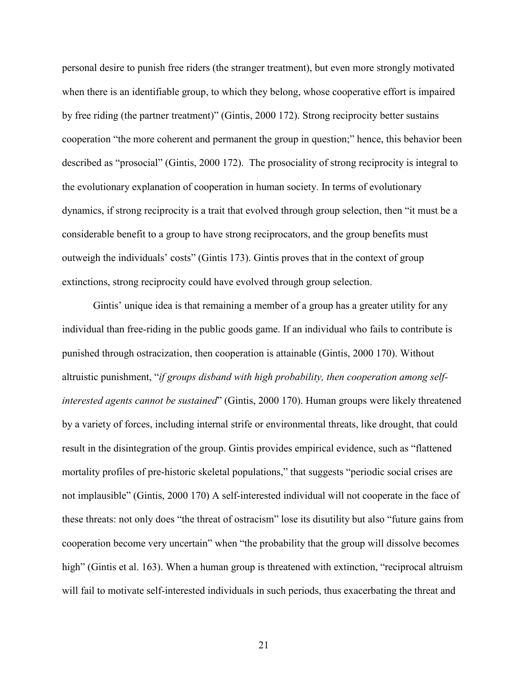personal desire to punish free riders (the stranger treatment), but even more strongly motivated when there is an identifiable group, to which they belong, whose cooperative effort is impaired by free riding (the partner treatment)" (Gintis, 2000 172). Strong reciprocity better sustains cooperation "the more coherent and permanent the group in question;" hence, this behavior been described as "prosocial" (Gintis, 2000 172). The prosociality of strong reciprocity is integral to the evolutionary explanation of cooperation in human society. In terms of evolutionary dynamics, if strong reciprocity is a trait that evolved through group selection, then "it must be a considerable benefit to a group to have strong reciprocators, and the group benefits must outweigh the individuals' costs" (Gintis 173). Gintis proves that in the context of group extinctions, strong reciprocity could have evolved through group selection.

Gintis' unique idea is that remaining a member of a group has a greater utility for any individual than free-riding in the public goods game. If an individual who fails to contribute is punished through ostracization, then cooperation is attainable (Gintis, 2000 170). Without altruistic punishment, "*if groups disband with high probability, then cooperation among selfinterested agents cannot be sustained*" (Gintis, 2000 170). Human groups were likely threatened by a variety of forces, including internal strife or environmental threats, like drought, that could result in the disintegration of the group. Gintis provides empirical evidence, such as "flattened mortality profiles of pre-historic skeletal populations," that suggests "periodic social crises are not implausible" (Gintis, 2000 170) A self-interested individual will not cooperate in the face of these threats: not only does "the threat of ostracism" lose its disutility but also "future gains from cooperation become very uncertain" when "the probability that the group will dissolve becomes high" (Gintis et al. 163). When a human group is threatened with extinction, "reciprocal altruism will fail to motivate self-interested individuals in such periods, thus exacerbating the threat and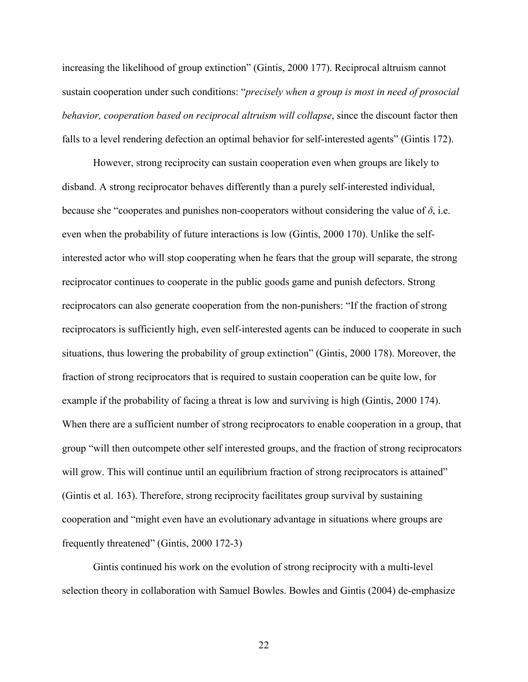increasing the likelihood of group extinction" (Gintis, 2000 177). Reciprocal altruism cannot sustain cooperation under such conditions: "*precisely when a group is most in need of prosocial behavior, cooperation based on reciprocal altruism will collapse*, since the discount factor then falls to a level rendering defection an optimal behavior for self-interested agents" (Gintis 172).

However, strong reciprocity can sustain cooperation even when groups are likely to disband. A strong reciprocator behaves differently than a purely self-interested individual, because she "cooperates and punishes non-cooperators without considering the value of  $\delta$ , i.e. even when the probability of future interactions is low (Gintis, 2000 170). Unlike the selfinterested actor who will stop cooperating when he fears that the group will separate, the strong reciprocator continues to cooperate in the public goods game and punish defectors. Strong reciprocators can also generate cooperation from the non-punishers: "If the fraction of strong reciprocators is sufficiently high, even self-interested agents can be induced to cooperate in such situations, thus lowering the probability of group extinction" (Gintis, 2000 178). Moreover, the fraction of strong reciprocators that is required to sustain cooperation can be quite low, for example if the probability of facing a threat is low and surviving is high (Gintis, 2000 174). When there are a sufficient number of strong reciprocators to enable cooperation in a group, that group "will then outcompete other self interested groups, and the fraction of strong reciprocators will grow. This will continue until an equilibrium fraction of strong reciprocators is attained" (Gintis et al. 163). Therefore, strong reciprocity facilitates group survival by sustaining cooperation and "might even have an evolutionary advantage in situations where groups are frequently threatened" (Gintis, 2000 172-3)

Gintis continued his work on the evolution of strong reciprocity with a multi-level selection theory in collaboration with Samuel Bowles. Bowles and Gintis (2004) de-emphasize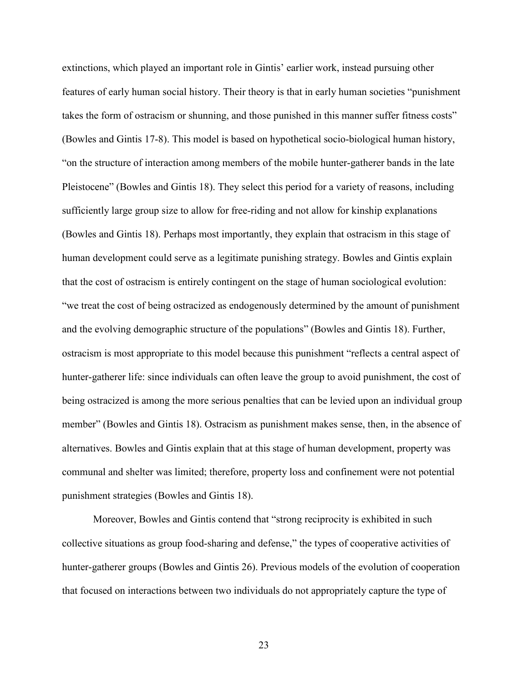extinctions, which played an important role in Gintis' earlier work, instead pursuing other features of early human social history. Their theory is that in early human societies "punishment takes the form of ostracism or shunning, and those punished in this manner suffer fitness costs" (Bowles and Gintis 17-8). This model is based on hypothetical socio-biological human history, "on the structure of interaction among members of the mobile hunter-gatherer bands in the late Pleistocene" (Bowles and Gintis 18). They select this period for a variety of reasons, including sufficiently large group size to allow for free-riding and not allow for kinship explanations (Bowles and Gintis 18). Perhaps most importantly, they explain that ostracism in this stage of human development could serve as a legitimate punishing strategy. Bowles and Gintis explain that the cost of ostracism is entirely contingent on the stage of human sociological evolution: "we treat the cost of being ostracized as endogenously determined by the amount of punishment and the evolving demographic structure of the populations" (Bowles and Gintis 18). Further, ostracism is most appropriate to this model because this punishment "reflects a central aspect of hunter-gatherer life: since individuals can often leave the group to avoid punishment, the cost of being ostracized is among the more serious penalties that can be levied upon an individual group member" (Bowles and Gintis 18). Ostracism as punishment makes sense, then, in the absence of alternatives. Bowles and Gintis explain that at this stage of human development, property was communal and shelter was limited; therefore, property loss and confinement were not potential punishment strategies (Bowles and Gintis 18).

Moreover, Bowles and Gintis contend that "strong reciprocity is exhibited in such collective situations as group food-sharing and defense," the types of cooperative activities of hunter-gatherer groups (Bowles and Gintis 26). Previous models of the evolution of cooperation that focused on interactions between two individuals do not appropriately capture the type of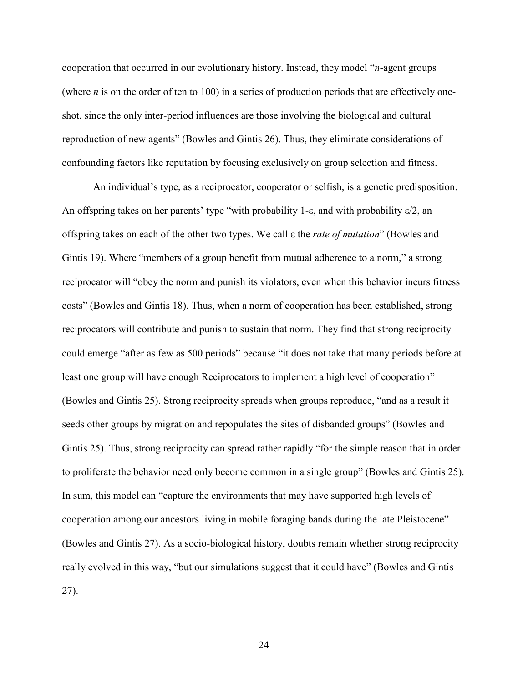cooperation that occurred in our evolutionary history. Instead, they model "*n*-agent groups (where *n* is on the order of ten to 100) in a series of production periods that are effectively oneshot, since the only inter-period influences are those involving the biological and cultural reproduction of new agents" (Bowles and Gintis 26). Thus, they eliminate considerations of confounding factors like reputation by focusing exclusively on group selection and fitness.

An individual's type, as a reciprocator, cooperator or selfish, is a genetic predisposition. An offspring takes on her parents' type "with probability 1- $\varepsilon$ , and with probability  $\varepsilon/2$ , an offspring takes on each of the other two types. We call L the *rate of mutation*" (Bowles and Gintis 19). Where "members of a group benefit from mutual adherence to a norm," a strong reciprocator will "obey the norm and punish its violators, even when this behavior incurs fitness costs" (Bowles and Gintis 18). Thus, when a norm of cooperation has been established, strong reciprocators will contribute and punish to sustain that norm. They find that strong reciprocity could emerge "after as few as 500 periods" because "it does not take that many periods before at least one group will have enough Reciprocators to implement a high level of cooperation" (Bowles and Gintis 25). Strong reciprocity spreads when groups reproduce, "and as a result it seeds other groups by migration and repopulates the sites of disbanded groups" (Bowles and Gintis 25). Thus, strong reciprocity can spread rather rapidly "for the simple reason that in order to proliferate the behavior need only become common in a single group" (Bowles and Gintis 25). In sum, this model can "capture the environments that may have supported high levels of cooperation among our ancestors living in mobile foraging bands during the late Pleistocene" (Bowles and Gintis 27). As a socio-biological history, doubts remain whether strong reciprocity really evolved in this way, "but our simulations suggest that it could have" (Bowles and Gintis 27).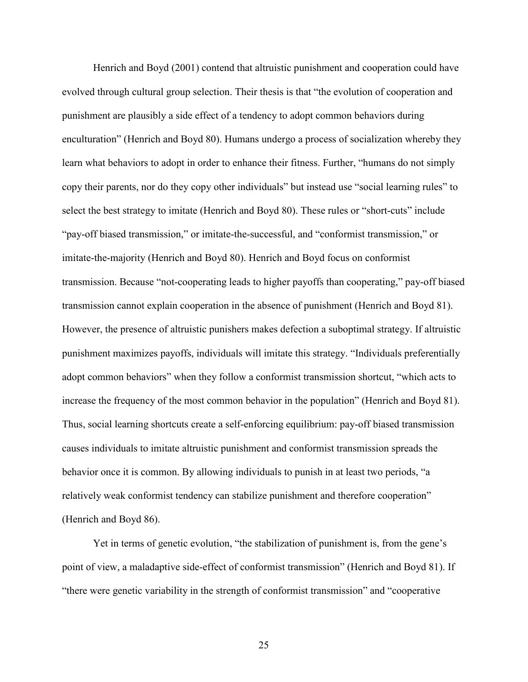Henrich and Boyd (2001) contend that altruistic punishment and cooperation could have evolved through cultural group selection. Their thesis is that "the evolution of cooperation and punishment are plausibly a side effect of a tendency to adopt common behaviors during enculturation" (Henrich and Boyd 80). Humans undergo a process of socialization whereby they learn what behaviors to adopt in order to enhance their fitness. Further, "humans do not simply copy their parents, nor do they copy other individuals" but instead use "social learning rules" to select the best strategy to imitate (Henrich and Boyd 80). These rules or "short-cuts" include "pay-off biased transmission," or imitate-the-successful, and "conformist transmission," or imitate-the-majority (Henrich and Boyd 80). Henrich and Boyd focus on conformist transmission. Because "not-cooperating leads to higher payoffs than cooperating," pay-off biased transmission cannot explain cooperation in the absence of punishment (Henrich and Boyd 81). However, the presence of altruistic punishers makes defection a suboptimal strategy. If altruistic punishment maximizes payoffs, individuals will imitate this strategy. "Individuals preferentially adopt common behaviors" when they follow a conformist transmission shortcut, "which acts to increase the frequency of the most common behavior in the population" (Henrich and Boyd 81). Thus, social learning shortcuts create a self-enforcing equilibrium: pay-off biased transmission causes individuals to imitate altruistic punishment and conformist transmission spreads the behavior once it is common. By allowing individuals to punish in at least two periods, "a relatively weak conformist tendency can stabilize punishment and therefore cooperation" (Henrich and Boyd 86).

Yet in terms of genetic evolution, "the stabilization of punishment is, from the gene's point of view, a maladaptive side-effect of conformist transmission" (Henrich and Boyd 81). If "there were genetic variability in the strength of conformist transmission" and "cooperative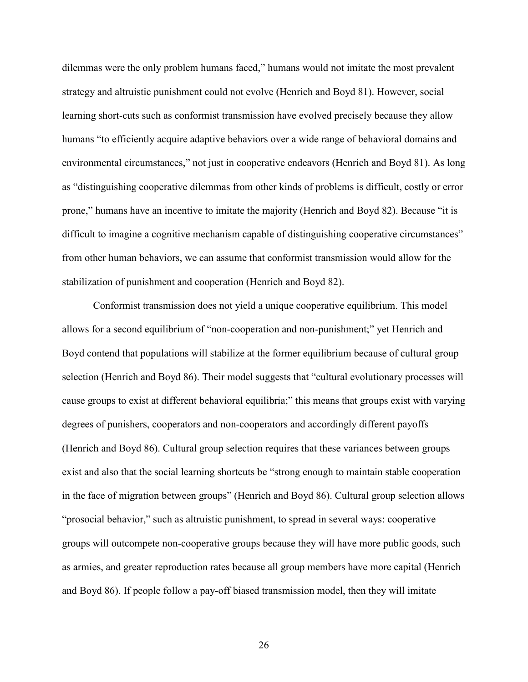dilemmas were the only problem humans faced," humans would not imitate the most prevalent strategy and altruistic punishment could not evolve (Henrich and Boyd 81). However, social learning short-cuts such as conformist transmission have evolved precisely because they allow humans "to efficiently acquire adaptive behaviors over a wide range of behavioral domains and environmental circumstances," not just in cooperative endeavors (Henrich and Boyd 81). As long as "distinguishing cooperative dilemmas from other kinds of problems is difficult, costly or error prone," humans have an incentive to imitate the majority (Henrich and Boyd 82). Because "it is difficult to imagine a cognitive mechanism capable of distinguishing cooperative circumstances" from other human behaviors, we can assume that conformist transmission would allow for the stabilization of punishment and cooperation (Henrich and Boyd 82).

Conformist transmission does not yield a unique cooperative equilibrium. This model allows for a second equilibrium of "non-cooperation and non-punishment;" yet Henrich and Boyd contend that populations will stabilize at the former equilibrium because of cultural group selection (Henrich and Boyd 86). Their model suggests that "cultural evolutionary processes will cause groups to exist at different behavioral equilibria;" this means that groups exist with varying degrees of punishers, cooperators and non-cooperators and accordingly different payoffs (Henrich and Boyd 86). Cultural group selection requires that these variances between groups exist and also that the social learning shortcuts be "strong enough to maintain stable cooperation in the face of migration between groups" (Henrich and Boyd 86). Cultural group selection allows "prosocial behavior," such as altruistic punishment, to spread in several ways: cooperative groups will outcompete non-cooperative groups because they will have more public goods, such as armies, and greater reproduction rates because all group members have more capital (Henrich and Boyd 86). If people follow a pay-off biased transmission model, then they will imitate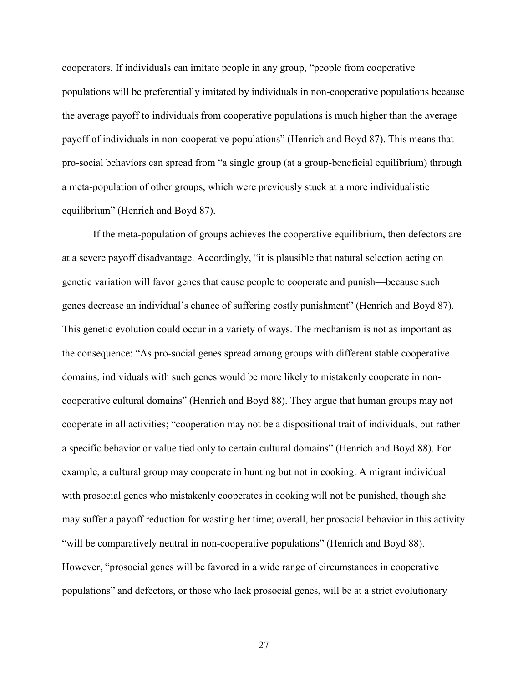cooperators. If individuals can imitate people in any group, "people from cooperative populations will be preferentially imitated by individuals in non-cooperative populations because the average payoff to individuals from cooperative populations is much higher than the average payoff of individuals in non-cooperative populations" (Henrich and Boyd 87). This means that pro-social behaviors can spread from "a single group (at a group-beneficial equilibrium) through a meta-population of other groups, which were previously stuck at a more individualistic equilibrium" (Henrich and Boyd 87).

 If the meta-population of groups achieves the cooperative equilibrium, then defectors are at a severe payoff disadvantage. Accordingly, "it is plausible that natural selection acting on genetic variation will favor genes that cause people to cooperate and punish—because such genes decrease an individual's chance of suffering costly punishment" (Henrich and Boyd 87). This genetic evolution could occur in a variety of ways. The mechanism is not as important as the consequence: "As pro-social genes spread among groups with different stable cooperative domains, individuals with such genes would be more likely to mistakenly cooperate in noncooperative cultural domains" (Henrich and Boyd 88). They argue that human groups may not cooperate in all activities; "cooperation may not be a dispositional trait of individuals, but rather a specific behavior or value tied only to certain cultural domains" (Henrich and Boyd 88). For example, a cultural group may cooperate in hunting but not in cooking. A migrant individual with prosocial genes who mistakenly cooperates in cooking will not be punished, though she may suffer a payoff reduction for wasting her time; overall, her prosocial behavior in this activity "will be comparatively neutral in non-cooperative populations" (Henrich and Boyd 88). However, "prosocial genes will be favored in a wide range of circumstances in cooperative populations" and defectors, or those who lack prosocial genes, will be at a strict evolutionary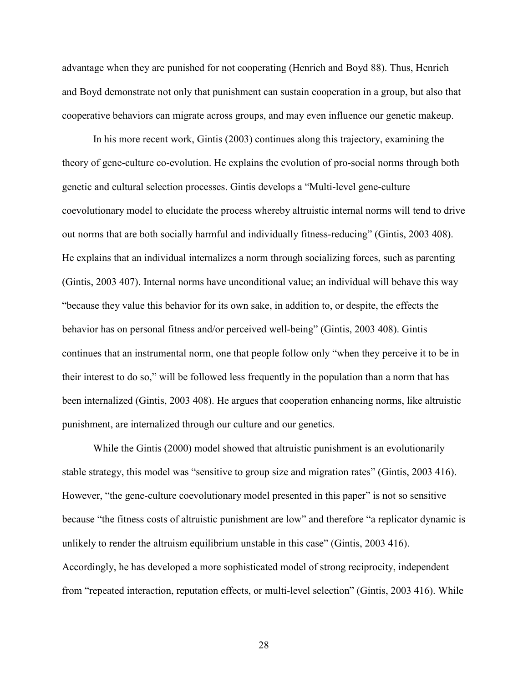advantage when they are punished for not cooperating (Henrich and Boyd 88). Thus, Henrich and Boyd demonstrate not only that punishment can sustain cooperation in a group, but also that cooperative behaviors can migrate across groups, and may even influence our genetic makeup.

In his more recent work, Gintis (2003) continues along this trajectory, examining the theory of gene-culture co-evolution. He explains the evolution of pro-social norms through both genetic and cultural selection processes. Gintis develops a "Multi-level gene-culture coevolutionary model to elucidate the process whereby altruistic internal norms will tend to drive out norms that are both socially harmful and individually fitness-reducing" (Gintis, 2003 408). He explains that an individual internalizes a norm through socializing forces, such as parenting (Gintis, 2003 407). Internal norms have unconditional value; an individual will behave this way "because they value this behavior for its own sake, in addition to, or despite, the effects the behavior has on personal fitness and/or perceived well-being" (Gintis, 2003 408). Gintis continues that an instrumental norm, one that people follow only "when they perceive it to be in their interest to do so," will be followed less frequently in the population than a norm that has been internalized (Gintis, 2003 408). He argues that cooperation enhancing norms, like altruistic punishment, are internalized through our culture and our genetics.

While the Gintis (2000) model showed that altruistic punishment is an evolutionarily stable strategy, this model was "sensitive to group size and migration rates" (Gintis, 2003 416). However, "the gene-culture coevolutionary model presented in this paper" is not so sensitive because "the fitness costs of altruistic punishment are low" and therefore "a replicator dynamic is unlikely to render the altruism equilibrium unstable in this case" (Gintis, 2003 416). Accordingly, he has developed a more sophisticated model of strong reciprocity, independent from "repeated interaction, reputation effects, or multi-level selection" (Gintis, 2003 416). While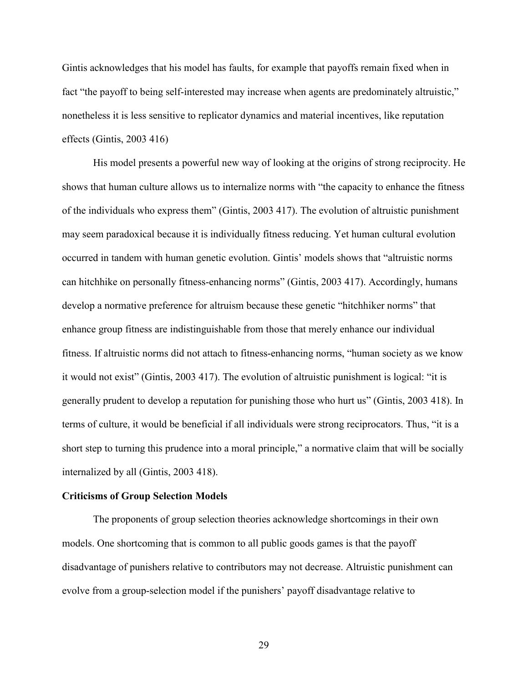Gintis acknowledges that his model has faults, for example that payoffs remain fixed when in fact "the payoff to being self-interested may increase when agents are predominately altruistic," nonetheless it is less sensitive to replicator dynamics and material incentives, like reputation effects (Gintis, 2003 416)

 His model presents a powerful new way of looking at the origins of strong reciprocity. He shows that human culture allows us to internalize norms with "the capacity to enhance the fitness of the individuals who express them" (Gintis, 2003 417). The evolution of altruistic punishment may seem paradoxical because it is individually fitness reducing. Yet human cultural evolution occurred in tandem with human genetic evolution. Gintis' models shows that "altruistic norms can hitchhike on personally fitness-enhancing norms" (Gintis, 2003 417). Accordingly, humans develop a normative preference for altruism because these genetic "hitchhiker norms" that enhance group fitness are indistinguishable from those that merely enhance our individual fitness. If altruistic norms did not attach to fitness-enhancing norms, "human society as we know it would not exist" (Gintis, 2003 417). The evolution of altruistic punishment is logical: "it is generally prudent to develop a reputation for punishing those who hurt us" (Gintis, 2003 418). In terms of culture, it would be beneficial if all individuals were strong reciprocators. Thus, "it is a short step to turning this prudence into a moral principle," a normative claim that will be socially internalized by all (Gintis, 2003 418).

#### **Criticisms of Group Selection Models**

The proponents of group selection theories acknowledge shortcomings in their own models. One shortcoming that is common to all public goods games is that the payoff disadvantage of punishers relative to contributors may not decrease. Altruistic punishment can evolve from a group-selection model if the punishers' payoff disadvantage relative to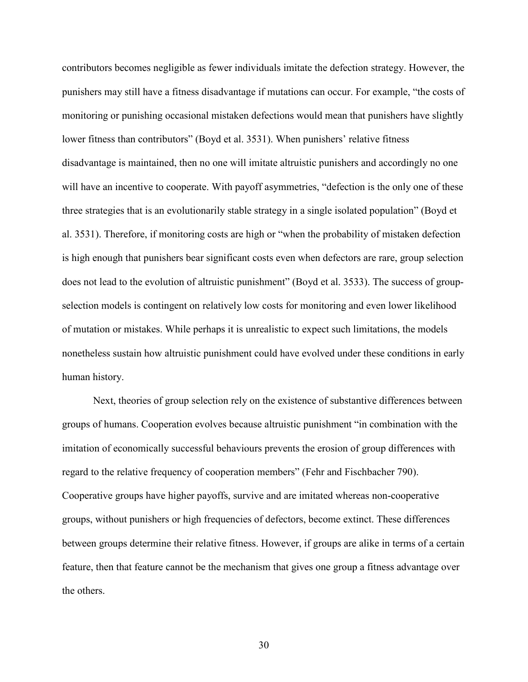contributors becomes negligible as fewer individuals imitate the defection strategy. However, the punishers may still have a fitness disadvantage if mutations can occur. For example, "the costs of monitoring or punishing occasional mistaken defections would mean that punishers have slightly lower fitness than contributors" (Boyd et al. 3531). When punishers' relative fitness disadvantage is maintained, then no one will imitate altruistic punishers and accordingly no one will have an incentive to cooperate. With payoff asymmetries, "defection is the only one of these three strategies that is an evolutionarily stable strategy in a single isolated population" (Boyd et al. 3531). Therefore, if monitoring costs are high or "when the probability of mistaken defection is high enough that punishers bear significant costs even when defectors are rare, group selection does not lead to the evolution of altruistic punishment" (Boyd et al. 3533). The success of groupselection models is contingent on relatively low costs for monitoring and even lower likelihood of mutation or mistakes. While perhaps it is unrealistic to expect such limitations, the models nonetheless sustain how altruistic punishment could have evolved under these conditions in early human history.

Next, theories of group selection rely on the existence of substantive differences between groups of humans. Cooperation evolves because altruistic punishment "in combination with the imitation of economically successful behaviours prevents the erosion of group differences with regard to the relative frequency of cooperation members" (Fehr and Fischbacher 790). Cooperative groups have higher payoffs, survive and are imitated whereas non-cooperative groups, without punishers or high frequencies of defectors, become extinct. These differences between groups determine their relative fitness. However, if groups are alike in terms of a certain feature, then that feature cannot be the mechanism that gives one group a fitness advantage over the others.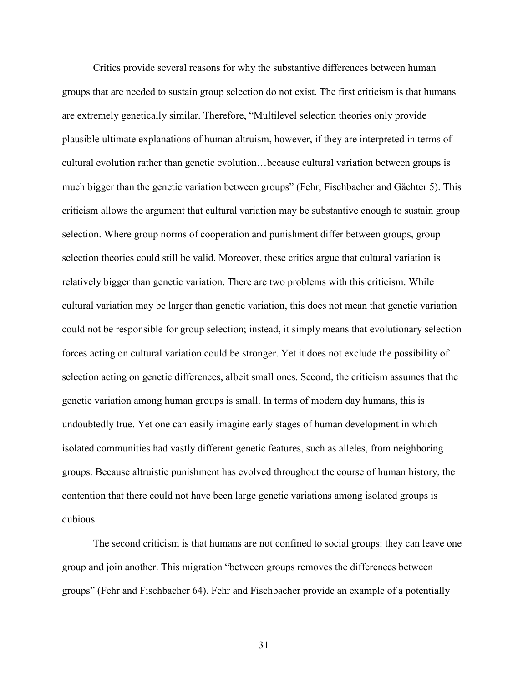Critics provide several reasons for why the substantive differences between human groups that are needed to sustain group selection do not exist. The first criticism is that humans are extremely genetically similar. Therefore, "Multilevel selection theories only provide plausible ultimate explanations of human altruism, however, if they are interpreted in terms of cultural evolution rather than genetic evolution…because cultural variation between groups is much bigger than the genetic variation between groups" (Fehr, Fischbacher and Gächter 5). This criticism allows the argument that cultural variation may be substantive enough to sustain group selection. Where group norms of cooperation and punishment differ between groups, group selection theories could still be valid. Moreover, these critics argue that cultural variation is relatively bigger than genetic variation. There are two problems with this criticism. While cultural variation may be larger than genetic variation, this does not mean that genetic variation could not be responsible for group selection; instead, it simply means that evolutionary selection forces acting on cultural variation could be stronger. Yet it does not exclude the possibility of selection acting on genetic differences, albeit small ones. Second, the criticism assumes that the genetic variation among human groups is small. In terms of modern day humans, this is undoubtedly true. Yet one can easily imagine early stages of human development in which isolated communities had vastly different genetic features, such as alleles, from neighboring groups. Because altruistic punishment has evolved throughout the course of human history, the contention that there could not have been large genetic variations among isolated groups is dubious.

The second criticism is that humans are not confined to social groups: they can leave one group and join another. This migration "between groups removes the differences between groups" (Fehr and Fischbacher 64). Fehr and Fischbacher provide an example of a potentially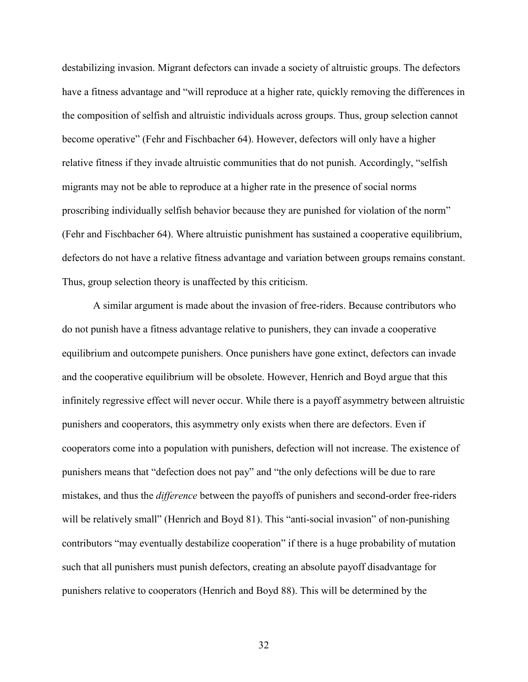destabilizing invasion. Migrant defectors can invade a society of altruistic groups. The defectors have a fitness advantage and "will reproduce at a higher rate, quickly removing the differences in the composition of selfish and altruistic individuals across groups. Thus, group selection cannot become operative" (Fehr and Fischbacher 64). However, defectors will only have a higher relative fitness if they invade altruistic communities that do not punish. Accordingly, "selfish migrants may not be able to reproduce at a higher rate in the presence of social norms proscribing individually selfish behavior because they are punished for violation of the norm" (Fehr and Fischbacher 64). Where altruistic punishment has sustained a cooperative equilibrium, defectors do not have a relative fitness advantage and variation between groups remains constant. Thus, group selection theory is unaffected by this criticism.

A similar argument is made about the invasion of free-riders. Because contributors who do not punish have a fitness advantage relative to punishers, they can invade a cooperative equilibrium and outcompete punishers. Once punishers have gone extinct, defectors can invade and the cooperative equilibrium will be obsolete. However, Henrich and Boyd argue that this infinitely regressive effect will never occur. While there is a payoff asymmetry between altruistic punishers and cooperators, this asymmetry only exists when there are defectors. Even if cooperators come into a population with punishers, defection will not increase. The existence of punishers means that "defection does not pay" and "the only defections will be due to rare mistakes, and thus the *difference* between the payoffs of punishers and second-order free-riders will be relatively small" (Henrich and Boyd 81). This "anti-social invasion" of non-punishing contributors "may eventually destabilize cooperation" if there is a huge probability of mutation such that all punishers must punish defectors, creating an absolute payoff disadvantage for punishers relative to cooperators (Henrich and Boyd 88). This will be determined by the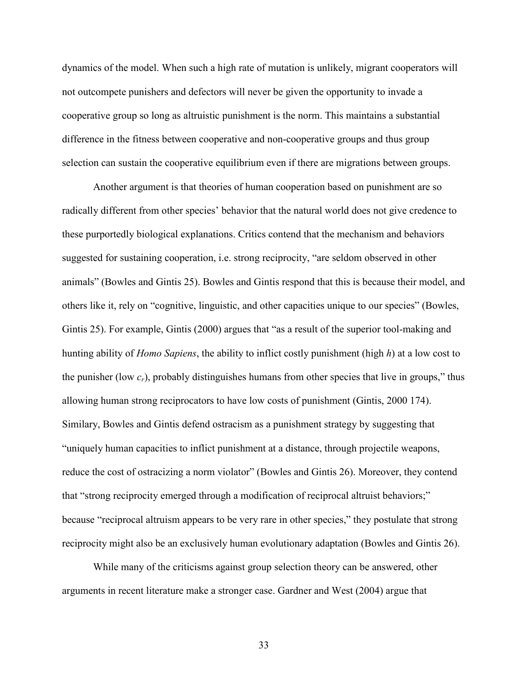dynamics of the model. When such a high rate of mutation is unlikely, migrant cooperators will not outcompete punishers and defectors will never be given the opportunity to invade a cooperative group so long as altruistic punishment is the norm. This maintains a substantial difference in the fitness between cooperative and non-cooperative groups and thus group selection can sustain the cooperative equilibrium even if there are migrations between groups.

Another argument is that theories of human cooperation based on punishment are so radically different from other species' behavior that the natural world does not give credence to these purportedly biological explanations. Critics contend that the mechanism and behaviors suggested for sustaining cooperation, i.e. strong reciprocity, "are seldom observed in other animals" (Bowles and Gintis 25). Bowles and Gintis respond that this is because their model, and others like it, rely on "cognitive, linguistic, and other capacities unique to our species" (Bowles, Gintis 25). For example, Gintis (2000) argues that "as a result of the superior tool-making and hunting ability of *Homo Sapiens*, the ability to inflict costly punishment (high *h*) at a low cost to the punisher (low *cr*), probably distinguishes humans from other species that live in groups," thus allowing human strong reciprocators to have low costs of punishment (Gintis, 2000 174). Similary, Bowles and Gintis defend ostracism as a punishment strategy by suggesting that "uniquely human capacities to inflict punishment at a distance, through projectile weapons, reduce the cost of ostracizing a norm violator" (Bowles and Gintis 26). Moreover, they contend that "strong reciprocity emerged through a modification of reciprocal altruist behaviors;" because "reciprocal altruism appears to be very rare in other species," they postulate that strong reciprocity might also be an exclusively human evolutionary adaptation (Bowles and Gintis 26).

While many of the criticisms against group selection theory can be answered, other arguments in recent literature make a stronger case. Gardner and West (2004) argue that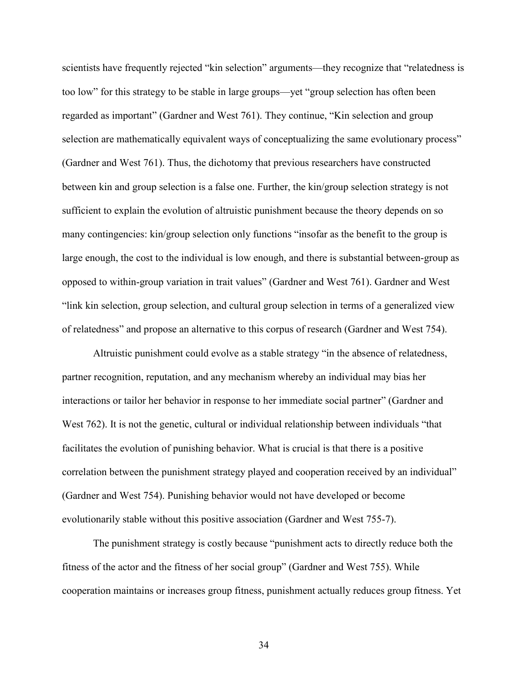scientists have frequently rejected "kin selection" arguments—they recognize that "relatedness is too low" for this strategy to be stable in large groups—yet "group selection has often been regarded as important" (Gardner and West 761). They continue, "Kin selection and group selection are mathematically equivalent ways of conceptualizing the same evolutionary process" (Gardner and West 761). Thus, the dichotomy that previous researchers have constructed between kin and group selection is a false one. Further, the kin/group selection strategy is not sufficient to explain the evolution of altruistic punishment because the theory depends on so many contingencies: kin/group selection only functions "insofar as the benefit to the group is large enough, the cost to the individual is low enough, and there is substantial between-group as opposed to within-group variation in trait values" (Gardner and West 761). Gardner and West "link kin selection, group selection, and cultural group selection in terms of a generalized view of relatedness" and propose an alternative to this corpus of research (Gardner and West 754).

Altruistic punishment could evolve as a stable strategy "in the absence of relatedness, partner recognition, reputation, and any mechanism whereby an individual may bias her interactions or tailor her behavior in response to her immediate social partner" (Gardner and West 762). It is not the genetic, cultural or individual relationship between individuals "that facilitates the evolution of punishing behavior. What is crucial is that there is a positive correlation between the punishment strategy played and cooperation received by an individual" (Gardner and West 754). Punishing behavior would not have developed or become evolutionarily stable without this positive association (Gardner and West 755-7).

The punishment strategy is costly because "punishment acts to directly reduce both the fitness of the actor and the fitness of her social group" (Gardner and West 755). While cooperation maintains or increases group fitness, punishment actually reduces group fitness. Yet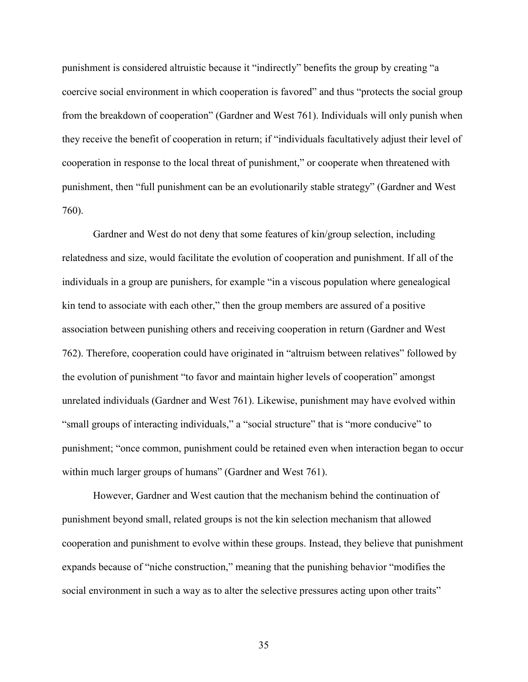punishment is considered altruistic because it "indirectly" benefits the group by creating "a coercive social environment in which cooperation is favored" and thus "protects the social group from the breakdown of cooperation" (Gardner and West 761). Individuals will only punish when they receive the benefit of cooperation in return; if "individuals facultatively adjust their level of cooperation in response to the local threat of punishment," or cooperate when threatened with punishment, then "full punishment can be an evolutionarily stable strategy" (Gardner and West 760).

Gardner and West do not deny that some features of kin/group selection, including relatedness and size, would facilitate the evolution of cooperation and punishment. If all of the individuals in a group are punishers, for example "in a viscous population where genealogical kin tend to associate with each other," then the group members are assured of a positive association between punishing others and receiving cooperation in return (Gardner and West 762). Therefore, cooperation could have originated in "altruism between relatives" followed by the evolution of punishment "to favor and maintain higher levels of cooperation" amongst unrelated individuals (Gardner and West 761). Likewise, punishment may have evolved within "small groups of interacting individuals," a "social structure" that is "more conducive" to punishment; "once common, punishment could be retained even when interaction began to occur within much larger groups of humans" (Gardner and West 761).

However, Gardner and West caution that the mechanism behind the continuation of punishment beyond small, related groups is not the kin selection mechanism that allowed cooperation and punishment to evolve within these groups. Instead, they believe that punishment expands because of "niche construction," meaning that the punishing behavior "modifies the social environment in such a way as to alter the selective pressures acting upon other traits"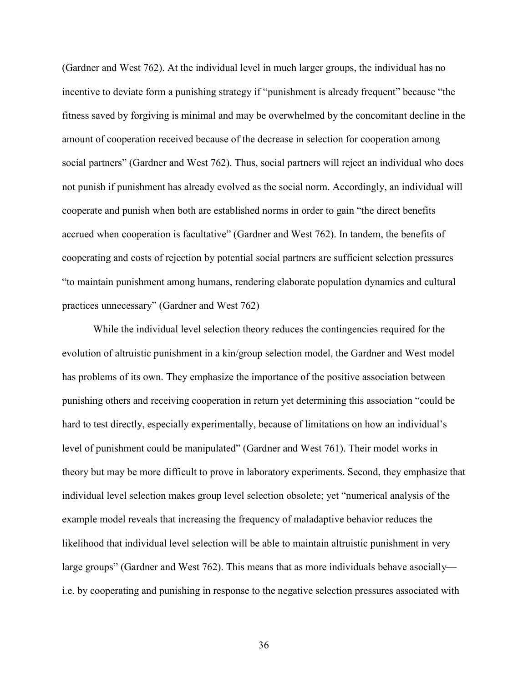(Gardner and West 762). At the individual level in much larger groups, the individual has no incentive to deviate form a punishing strategy if "punishment is already frequent" because "the fitness saved by forgiving is minimal and may be overwhelmed by the concomitant decline in the amount of cooperation received because of the decrease in selection for cooperation among social partners" (Gardner and West 762). Thus, social partners will reject an individual who does not punish if punishment has already evolved as the social norm. Accordingly, an individual will cooperate and punish when both are established norms in order to gain "the direct benefits accrued when cooperation is facultative" (Gardner and West 762). In tandem, the benefits of cooperating and costs of rejection by potential social partners are sufficient selection pressures "to maintain punishment among humans, rendering elaborate population dynamics and cultural practices unnecessary" (Gardner and West 762)

While the individual level selection theory reduces the contingencies required for the evolution of altruistic punishment in a kin/group selection model, the Gardner and West model has problems of its own. They emphasize the importance of the positive association between punishing others and receiving cooperation in return yet determining this association "could be hard to test directly, especially experimentally, because of limitations on how an individual's level of punishment could be manipulated" (Gardner and West 761). Their model works in theory but may be more difficult to prove in laboratory experiments. Second, they emphasize that individual level selection makes group level selection obsolete; yet "numerical analysis of the example model reveals that increasing the frequency of maladaptive behavior reduces the likelihood that individual level selection will be able to maintain altruistic punishment in very large groups" (Gardner and West 762). This means that as more individuals behave asocially i.e. by cooperating and punishing in response to the negative selection pressures associated with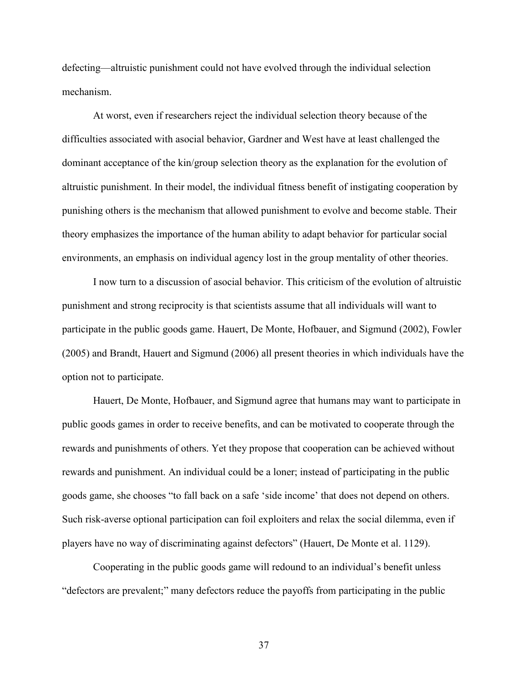defecting—altruistic punishment could not have evolved through the individual selection mechanism.

At worst, even if researchers reject the individual selection theory because of the difficulties associated with asocial behavior, Gardner and West have at least challenged the dominant acceptance of the kin/group selection theory as the explanation for the evolution of altruistic punishment. In their model, the individual fitness benefit of instigating cooperation by punishing others is the mechanism that allowed punishment to evolve and become stable. Their theory emphasizes the importance of the human ability to adapt behavior for particular social environments, an emphasis on individual agency lost in the group mentality of other theories.

I now turn to a discussion of asocial behavior. This criticism of the evolution of altruistic punishment and strong reciprocity is that scientists assume that all individuals will want to participate in the public goods game. Hauert, De Monte, Hofbauer, and Sigmund (2002), Fowler (2005) and Brandt, Hauert and Sigmund (2006) all present theories in which individuals have the option not to participate.

Hauert, De Monte, Hofbauer, and Sigmund agree that humans may want to participate in public goods games in order to receive benefits, and can be motivated to cooperate through the rewards and punishments of others. Yet they propose that cooperation can be achieved without rewards and punishment. An individual could be a loner; instead of participating in the public goods game, she chooses "to fall back on a safe 'side income' that does not depend on others. Such risk-averse optional participation can foil exploiters and relax the social dilemma, even if players have no way of discriminating against defectors" (Hauert, De Monte et al. 1129).

Cooperating in the public goods game will redound to an individual's benefit unless "defectors are prevalent;" many defectors reduce the payoffs from participating in the public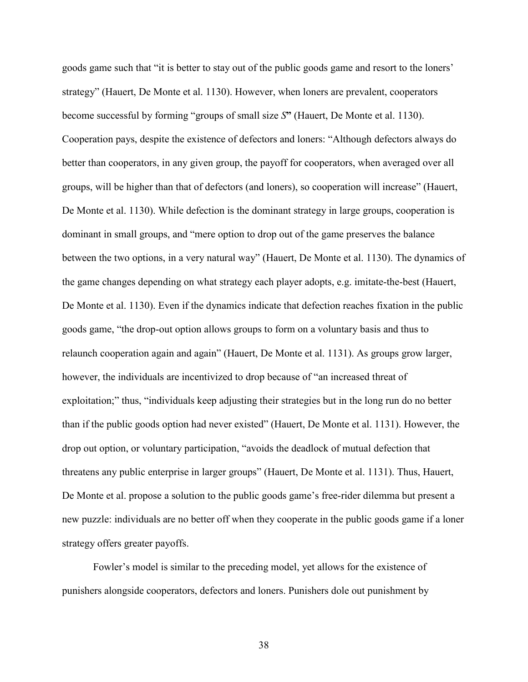goods game such that "it is better to stay out of the public goods game and resort to the loners' strategy" (Hauert, De Monte et al. 1130). However, when loners are prevalent, cooperators become successful by forming "groups of small size *S***"** (Hauert, De Monte et al. 1130). Cooperation pays, despite the existence of defectors and loners: "Although defectors always do better than cooperators, in any given group, the payoff for cooperators, when averaged over all groups, will be higher than that of defectors (and loners), so cooperation will increase" (Hauert, De Monte et al. 1130). While defection is the dominant strategy in large groups, cooperation is dominant in small groups, and "mere option to drop out of the game preserves the balance between the two options, in a very natural way" (Hauert, De Monte et al. 1130). The dynamics of the game changes depending on what strategy each player adopts, e.g. imitate-the-best (Hauert, De Monte et al. 1130). Even if the dynamics indicate that defection reaches fixation in the public goods game, "the drop-out option allows groups to form on a voluntary basis and thus to relaunch cooperation again and again" (Hauert, De Monte et al. 1131). As groups grow larger, however, the individuals are incentivized to drop because of "an increased threat of exploitation;" thus, "individuals keep adjusting their strategies but in the long run do no better than if the public goods option had never existed" (Hauert, De Monte et al. 1131). However, the drop out option, or voluntary participation, "avoids the deadlock of mutual defection that threatens any public enterprise in larger groups" (Hauert, De Monte et al. 1131). Thus, Hauert, De Monte et al. propose a solution to the public goods game's free-rider dilemma but present a new puzzle: individuals are no better off when they cooperate in the public goods game if a loner strategy offers greater payoffs.

Fowler's model is similar to the preceding model, yet allows for the existence of punishers alongside cooperators, defectors and loners. Punishers dole out punishment by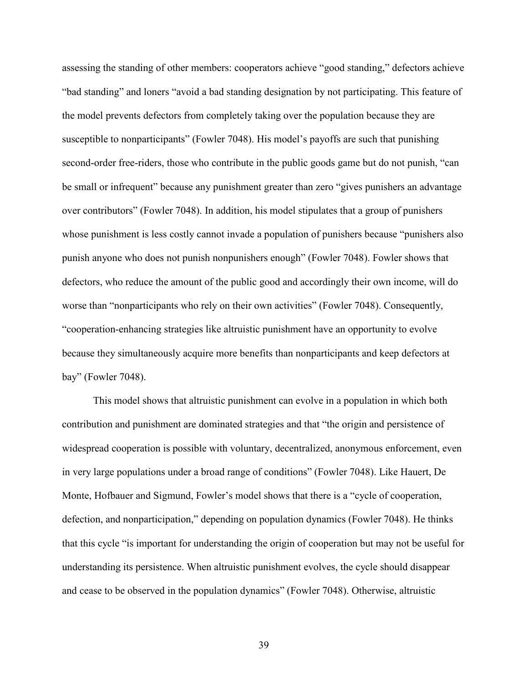assessing the standing of other members: cooperators achieve "good standing," defectors achieve "bad standing" and loners "avoid a bad standing designation by not participating. This feature of the model prevents defectors from completely taking over the population because they are susceptible to nonparticipants" (Fowler 7048). His model's payoffs are such that punishing second-order free-riders, those who contribute in the public goods game but do not punish, "can be small or infrequent" because any punishment greater than zero "gives punishers an advantage over contributors" (Fowler 7048). In addition, his model stipulates that a group of punishers whose punishment is less costly cannot invade a population of punishers because "punishers also punish anyone who does not punish nonpunishers enough" (Fowler 7048). Fowler shows that defectors, who reduce the amount of the public good and accordingly their own income, will do worse than "nonparticipants who rely on their own activities" (Fowler 7048). Consequently, "cooperation-enhancing strategies like altruistic punishment have an opportunity to evolve because they simultaneously acquire more benefits than nonparticipants and keep defectors at bay" (Fowler 7048).

This model shows that altruistic punishment can evolve in a population in which both contribution and punishment are dominated strategies and that "the origin and persistence of widespread cooperation is possible with voluntary, decentralized, anonymous enforcement, even in very large populations under a broad range of conditions" (Fowler 7048). Like Hauert, De Monte, Hofbauer and Sigmund, Fowler's model shows that there is a "cycle of cooperation, defection, and nonparticipation," depending on population dynamics (Fowler 7048). He thinks that this cycle "is important for understanding the origin of cooperation but may not be useful for understanding its persistence. When altruistic punishment evolves, the cycle should disappear and cease to be observed in the population dynamics" (Fowler 7048). Otherwise, altruistic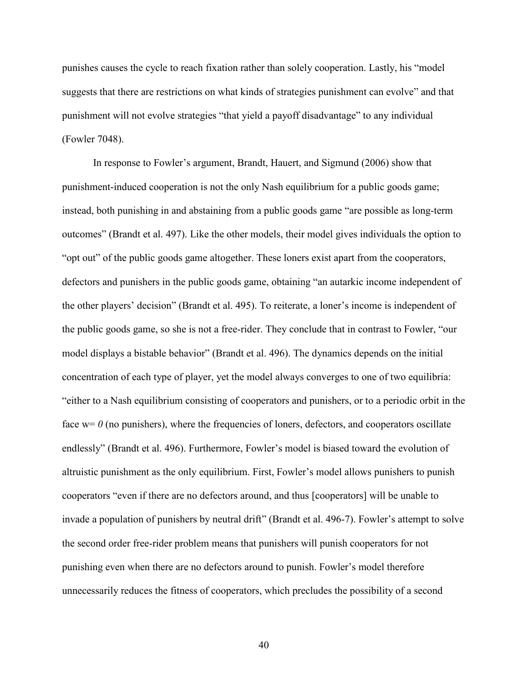punishes causes the cycle to reach fixation rather than solely cooperation. Lastly, his "model suggests that there are restrictions on what kinds of strategies punishment can evolve" and that punishment will not evolve strategies "that yield a payoff disadvantage" to any individual (Fowler 7048).

In response to Fowler's argument, Brandt, Hauert, and Sigmund (2006) show that punishment-induced cooperation is not the only Nash equilibrium for a public goods game; instead, both punishing in and abstaining from a public goods game "are possible as long-term outcomes" (Brandt et al. 497). Like the other models, their model gives individuals the option to "opt out" of the public goods game altogether. These loners exist apart from the cooperators, defectors and punishers in the public goods game, obtaining "an autarkic income independent of the other players' decision" (Brandt et al. 495). To reiterate, a loner's income is independent of the public goods game, so she is not a free-rider. They conclude that in contrast to Fowler, "our model displays a bistable behavior" (Brandt et al. 496). The dynamics depends on the initial concentration of each type of player, yet the model always converges to one of two equilibria: "either to a Nash equilibrium consisting of cooperators and punishers, or to a periodic orbit in the face  $w = 0$  (no punishers), where the frequencies of loners, defectors, and cooperators oscillate endlessly" (Brandt et al. 496). Furthermore, Fowler's model is biased toward the evolution of altruistic punishment as the only equilibrium. First, Fowler's model allows punishers to punish cooperators "even if there are no defectors around, and thus [cooperators] will be unable to invade a population of punishers by neutral drift" (Brandt et al. 496-7). Fowler's attempt to solve the second order free-rider problem means that punishers will punish cooperators for not punishing even when there are no defectors around to punish. Fowler's model therefore unnecessarily reduces the fitness of cooperators, which precludes the possibility of a second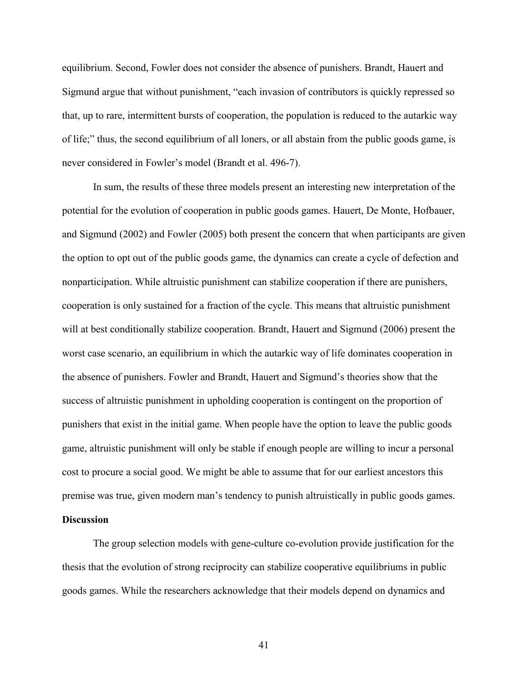equilibrium. Second, Fowler does not consider the absence of punishers. Brandt, Hauert and Sigmund argue that without punishment, "each invasion of contributors is quickly repressed so that, up to rare, intermittent bursts of cooperation, the population is reduced to the autarkic way of life;" thus, the second equilibrium of all loners, or all abstain from the public goods game, is never considered in Fowler's model (Brandt et al. 496-7).

 In sum, the results of these three models present an interesting new interpretation of the potential for the evolution of cooperation in public goods games. Hauert, De Monte, Hofbauer, and Sigmund (2002) and Fowler (2005) both present the concern that when participants are given the option to opt out of the public goods game, the dynamics can create a cycle of defection and nonparticipation. While altruistic punishment can stabilize cooperation if there are punishers, cooperation is only sustained for a fraction of the cycle. This means that altruistic punishment will at best conditionally stabilize cooperation. Brandt, Hauert and Sigmund (2006) present the worst case scenario, an equilibrium in which the autarkic way of life dominates cooperation in the absence of punishers. Fowler and Brandt, Hauert and Sigmund's theories show that the success of altruistic punishment in upholding cooperation is contingent on the proportion of punishers that exist in the initial game. When people have the option to leave the public goods game, altruistic punishment will only be stable if enough people are willing to incur a personal cost to procure a social good. We might be able to assume that for our earliest ancestors this premise was true, given modern man's tendency to punish altruistically in public goods games.

# **Discussion**

The group selection models with gene-culture co-evolution provide justification for the thesis that the evolution of strong reciprocity can stabilize cooperative equilibriums in public goods games. While the researchers acknowledge that their models depend on dynamics and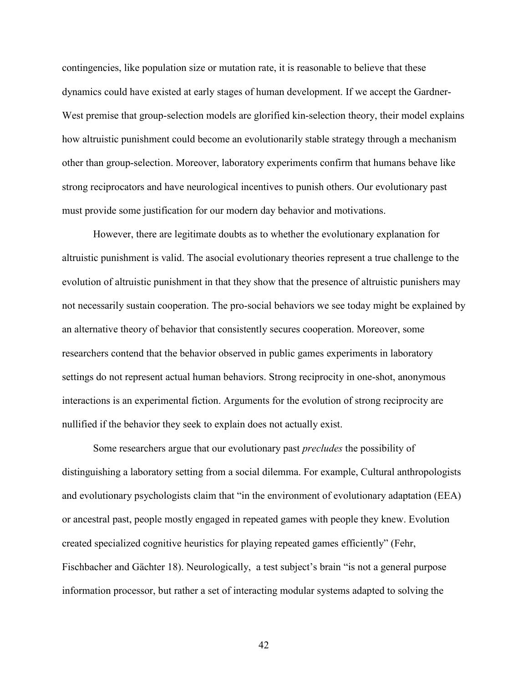contingencies, like population size or mutation rate, it is reasonable to believe that these dynamics could have existed at early stages of human development. If we accept the Gardner-West premise that group-selection models are glorified kin-selection theory, their model explains how altruistic punishment could become an evolutionarily stable strategy through a mechanism other than group-selection. Moreover, laboratory experiments confirm that humans behave like strong reciprocators and have neurological incentives to punish others. Our evolutionary past must provide some justification for our modern day behavior and motivations.

 However, there are legitimate doubts as to whether the evolutionary explanation for altruistic punishment is valid. The asocial evolutionary theories represent a true challenge to the evolution of altruistic punishment in that they show that the presence of altruistic punishers may not necessarily sustain cooperation. The pro-social behaviors we see today might be explained by an alternative theory of behavior that consistently secures cooperation. Moreover, some researchers contend that the behavior observed in public games experiments in laboratory settings do not represent actual human behaviors. Strong reciprocity in one-shot, anonymous interactions is an experimental fiction. Arguments for the evolution of strong reciprocity are nullified if the behavior they seek to explain does not actually exist.

Some researchers argue that our evolutionary past *precludes* the possibility of distinguishing a laboratory setting from a social dilemma. For example, Cultural anthropologists and evolutionary psychologists claim that "in the environment of evolutionary adaptation (EEA) or ancestral past, people mostly engaged in repeated games with people they knew. Evolution created specialized cognitive heuristics for playing repeated games efficiently" (Fehr, Fischbacher and Gächter 18). Neurologically, a test subject's brain "is not a general purpose information processor, but rather a set of interacting modular systems adapted to solving the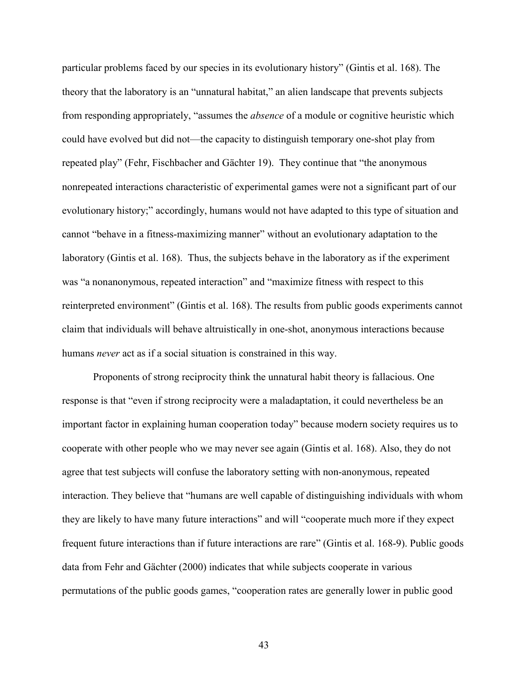particular problems faced by our species in its evolutionary history" (Gintis et al. 168). The theory that the laboratory is an "unnatural habitat," an alien landscape that prevents subjects from responding appropriately, "assumes the *absence* of a module or cognitive heuristic which could have evolved but did not—the capacity to distinguish temporary one-shot play from repeated play" (Fehr, Fischbacher and Gächter 19). They continue that "the anonymous nonrepeated interactions characteristic of experimental games were not a significant part of our evolutionary history;" accordingly, humans would not have adapted to this type of situation and cannot "behave in a fitness-maximizing manner" without an evolutionary adaptation to the laboratory (Gintis et al. 168). Thus, the subjects behave in the laboratory as if the experiment was "a nonanonymous, repeated interaction" and "maximize fitness with respect to this reinterpreted environment" (Gintis et al. 168). The results from public goods experiments cannot claim that individuals will behave altruistically in one-shot, anonymous interactions because humans *never* act as if a social situation is constrained in this way.

 Proponents of strong reciprocity think the unnatural habit theory is fallacious. One response is that "even if strong reciprocity were a maladaptation, it could nevertheless be an important factor in explaining human cooperation today" because modern society requires us to cooperate with other people who we may never see again (Gintis et al. 168). Also, they do not agree that test subjects will confuse the laboratory setting with non-anonymous, repeated interaction. They believe that "humans are well capable of distinguishing individuals with whom they are likely to have many future interactions" and will "cooperate much more if they expect frequent future interactions than if future interactions are rare" (Gintis et al. 168-9). Public goods data from Fehr and Gächter (2000) indicates that while subjects cooperate in various permutations of the public goods games, "cooperation rates are generally lower in public good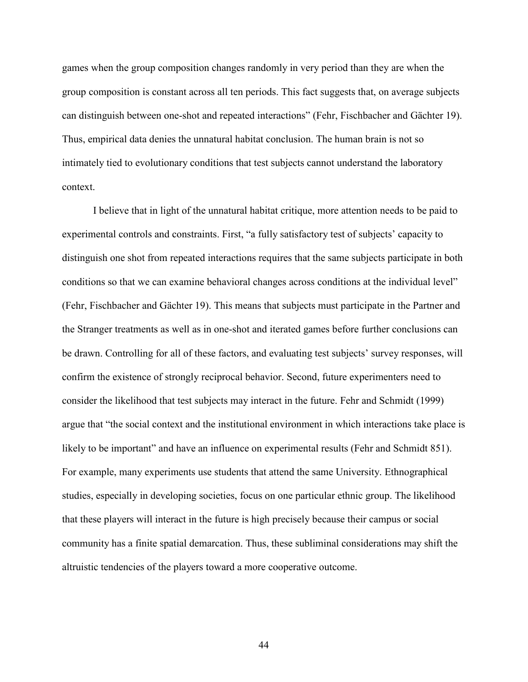games when the group composition changes randomly in very period than they are when the group composition is constant across all ten periods. This fact suggests that, on average subjects can distinguish between one-shot and repeated interactions" (Fehr, Fischbacher and Gächter 19). Thus, empirical data denies the unnatural habitat conclusion. The human brain is not so intimately tied to evolutionary conditions that test subjects cannot understand the laboratory context.

I believe that in light of the unnatural habitat critique, more attention needs to be paid to experimental controls and constraints. First, "a fully satisfactory test of subjects' capacity to distinguish one shot from repeated interactions requires that the same subjects participate in both conditions so that we can examine behavioral changes across conditions at the individual level" (Fehr, Fischbacher and Gächter 19). This means that subjects must participate in the Partner and the Stranger treatments as well as in one-shot and iterated games before further conclusions can be drawn. Controlling for all of these factors, and evaluating test subjects' survey responses, will confirm the existence of strongly reciprocal behavior. Second, future experimenters need to consider the likelihood that test subjects may interact in the future. Fehr and Schmidt (1999) argue that "the social context and the institutional environment in which interactions take place is likely to be important" and have an influence on experimental results (Fehr and Schmidt 851). For example, many experiments use students that attend the same University. Ethnographical studies, especially in developing societies, focus on one particular ethnic group. The likelihood that these players will interact in the future is high precisely because their campus or social community has a finite spatial demarcation. Thus, these subliminal considerations may shift the altruistic tendencies of the players toward a more cooperative outcome.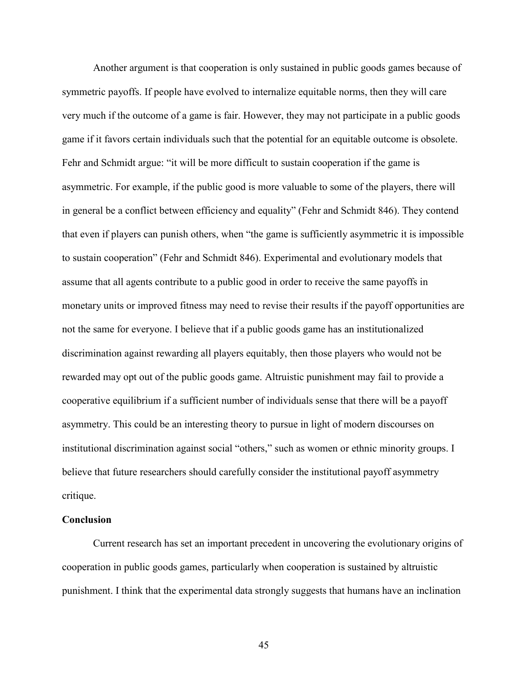Another argument is that cooperation is only sustained in public goods games because of symmetric payoffs. If people have evolved to internalize equitable norms, then they will care very much if the outcome of a game is fair. However, they may not participate in a public goods game if it favors certain individuals such that the potential for an equitable outcome is obsolete. Fehr and Schmidt argue: "it will be more difficult to sustain cooperation if the game is asymmetric. For example, if the public good is more valuable to some of the players, there will in general be a conflict between efficiency and equality" (Fehr and Schmidt 846). They contend that even if players can punish others, when "the game is sufficiently asymmetric it is impossible to sustain cooperation" (Fehr and Schmidt 846). Experimental and evolutionary models that assume that all agents contribute to a public good in order to receive the same payoffs in monetary units or improved fitness may need to revise their results if the payoff opportunities are not the same for everyone. I believe that if a public goods game has an institutionalized discrimination against rewarding all players equitably, then those players who would not be rewarded may opt out of the public goods game. Altruistic punishment may fail to provide a cooperative equilibrium if a sufficient number of individuals sense that there will be a payoff asymmetry. This could be an interesting theory to pursue in light of modern discourses on institutional discrimination against social "others," such as women or ethnic minority groups. I believe that future researchers should carefully consider the institutional payoff asymmetry critique.

#### **Conclusion**

Current research has set an important precedent in uncovering the evolutionary origins of cooperation in public goods games, particularly when cooperation is sustained by altruistic punishment. I think that the experimental data strongly suggests that humans have an inclination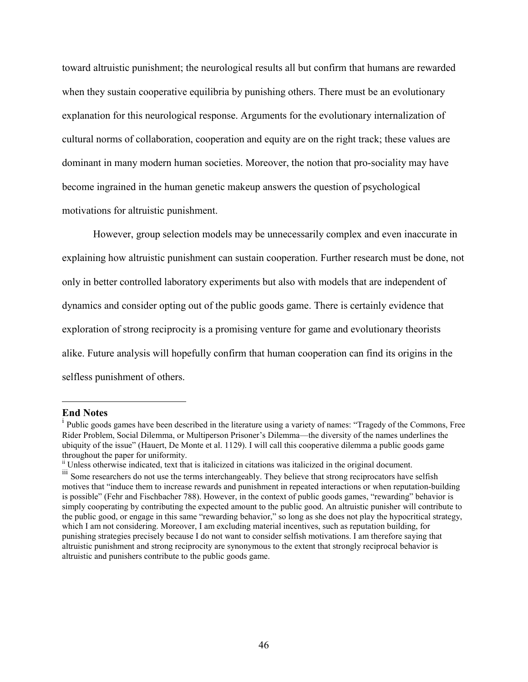toward altruistic punishment; the neurological results all but confirm that humans are rewarded when they sustain cooperative equilibria by punishing others. There must be an evolutionary explanation for this neurological response. Arguments for the evolutionary internalization of cultural norms of collaboration, cooperation and equity are on the right track; these values are dominant in many modern human societies. Moreover, the notion that pro-sociality may have become ingrained in the human genetic makeup answers the question of psychological motivations for altruistic punishment.

However, group selection models may be unnecessarily complex and even inaccurate in explaining how altruistic punishment can sustain cooperation. Further research must be done, not only in better controlled laboratory experiments but also with models that are independent of dynamics and consider opting out of the public goods game. There is certainly evidence that exploration of strong reciprocity is a promising venture for game and evolutionary theorists alike. Future analysis will hopefully confirm that human cooperation can find its origins in the selfless punishment of others.

**End Notes** 

<sup>&</sup>lt;sup>i</sup> Public goods games have been described in the literature using a variety of names: "Tragedy of the Commons, Free Rider Problem, Social Dilemma, or Multiperson Prisoner's Dilemma—the diversity of the names underlines the ubiquity of the issue" (Hauert, De Monte et al. 1129). I will call this cooperative dilemma a public goods game throughout the paper for uniformity.

ii Unless otherwise indicated, text that is italicized in citations was italicized in the original document.

<sup>&</sup>lt;sup>iii</sup> Some researchers do not use the terms interchangeably. They believe that strong reciprocators have selfish motives that "induce them to increase rewards and punishment in repeated interactions or when reputation-building is possible" (Fehr and Fischbacher 788). However, in the context of public goods games, "rewarding" behavior is simply cooperating by contributing the expected amount to the public good. An altruistic punisher will contribute to the public good, or engage in this same "rewarding behavior," so long as she does not play the hypocritical strategy, which I am not considering. Moreover, I am excluding material incentives, such as reputation building, for punishing strategies precisely because I do not want to consider selfish motivations. I am therefore saying that altruistic punishment and strong reciprocity are synonymous to the extent that strongly reciprocal behavior is altruistic and punishers contribute to the public goods game.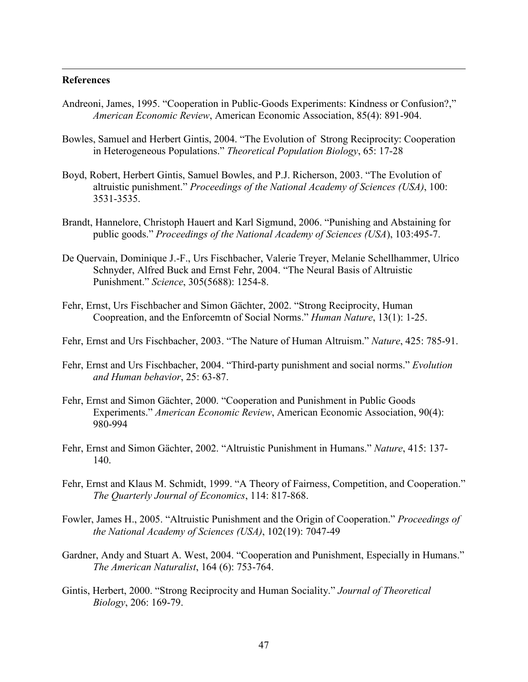#### **References**

- Andreoni, James, 1995. "Cooperation in Public-Goods Experiments: Kindness or Confusion?," *American Economic Review*, American Economic Association, 85(4): 891-904.
- Bowles, Samuel and Herbert Gintis, 2004. "The Evolution of Strong Reciprocity: Cooperation in Heterogeneous Populations." *Theoretical Population Biology*, 65: 17-28
- Boyd, Robert, Herbert Gintis, Samuel Bowles, and P.J. Richerson, 2003. "The Evolution of altruistic punishment." *Proceedings of the National Academy of Sciences (USA)*, 100: 3531-3535.
- Brandt, Hannelore, Christoph Hauert and Karl Sigmund, 2006. "Punishing and Abstaining for public goods." *Proceedings of the National Academy of Sciences (USA*), 103:495-7.
- De Quervain, Dominique J.-F., Urs Fischbacher, Valerie Treyer, Melanie Schellhammer, Ulrico Schnyder, Alfred Buck and Ernst Fehr, 2004. "The Neural Basis of Altruistic Punishment." *Science*, 305(5688): 1254-8.
- Fehr, Ernst, Urs Fischbacher and Simon Gächter, 2002. "Strong Reciprocity, Human Coopreation, and the Enforcemtn of Social Norms." *Human Nature*, 13(1): 1-25.
- Fehr, Ernst and Urs Fischbacher, 2003. "The Nature of Human Altruism." *Nature*, 425: 785-91.
- Fehr, Ernst and Urs Fischbacher, 2004. "Third-party punishment and social norms." *Evolution and Human behavior*, 25: 63-87.
- Fehr, Ernst and Simon Gächter, 2000. "Cooperation and Punishment in Public Goods Experiments." *American Economic Review*, American Economic Association, 90(4): 980-994
- Fehr, Ernst and Simon Gächter, 2002. "Altruistic Punishment in Humans." *Nature*, 415: 137- 140.
- Fehr, Ernst and Klaus M. Schmidt, 1999. "A Theory of Fairness, Competition, and Cooperation." *The Quarterly Journal of Economics*, 114: 817-868.
- Fowler, James H., 2005. "Altruistic Punishment and the Origin of Cooperation." *Proceedings of the National Academy of Sciences (USA)*, 102(19): 7047-49
- Gardner, Andy and Stuart A. West, 2004. "Cooperation and Punishment, Especially in Humans." *The American Naturalist*, 164 (6): 753-764.
- Gintis, Herbert, 2000. "Strong Reciprocity and Human Sociality." *Journal of Theoretical Biology*, 206: 169-79.